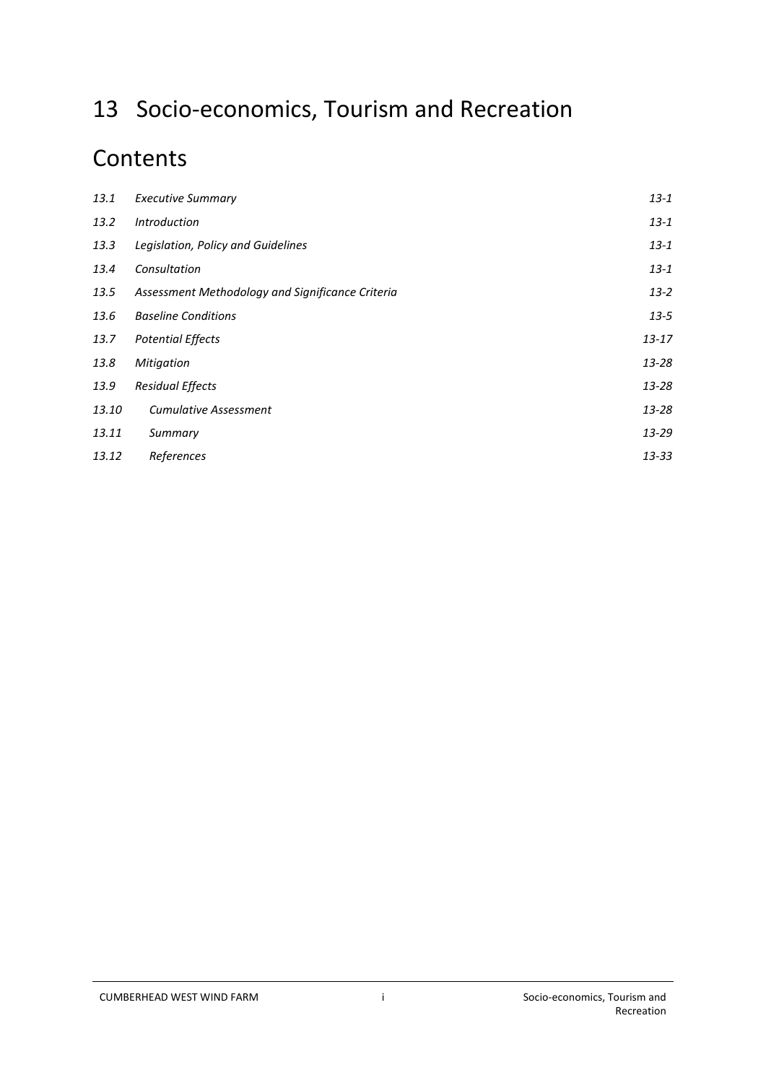# 13 Socio-economics, Tourism and Recreation

# **Contents**

| <b>Executive Summary</b>                         | $13 - 1$  |
|--------------------------------------------------|-----------|
| <b>Introduction</b>                              | $13 - 1$  |
| Legislation, Policy and Guidelines               | $13 - 1$  |
| Consultation                                     | $13 - 1$  |
| Assessment Methodology and Significance Criteria | $13 - 2$  |
| <b>Baseline Conditions</b>                       | $13 - 5$  |
| <b>Potential Effects</b>                         | $13 - 17$ |
| Mitigation                                       | 13-28     |
| <b>Residual Effects</b>                          | 13-28     |
| <b>Cumulative Assessment</b>                     | $13 - 28$ |
| Summary                                          | $13 - 29$ |
| References                                       | $13 - 33$ |
|                                                  |           |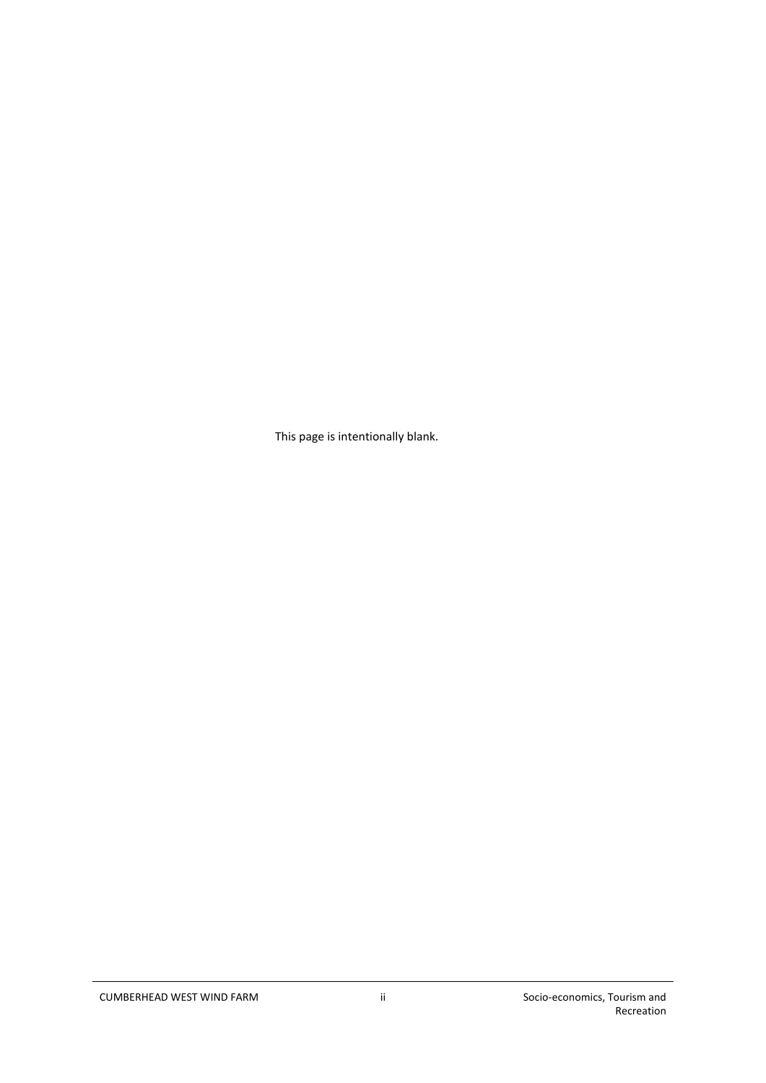This page is intentionally blank.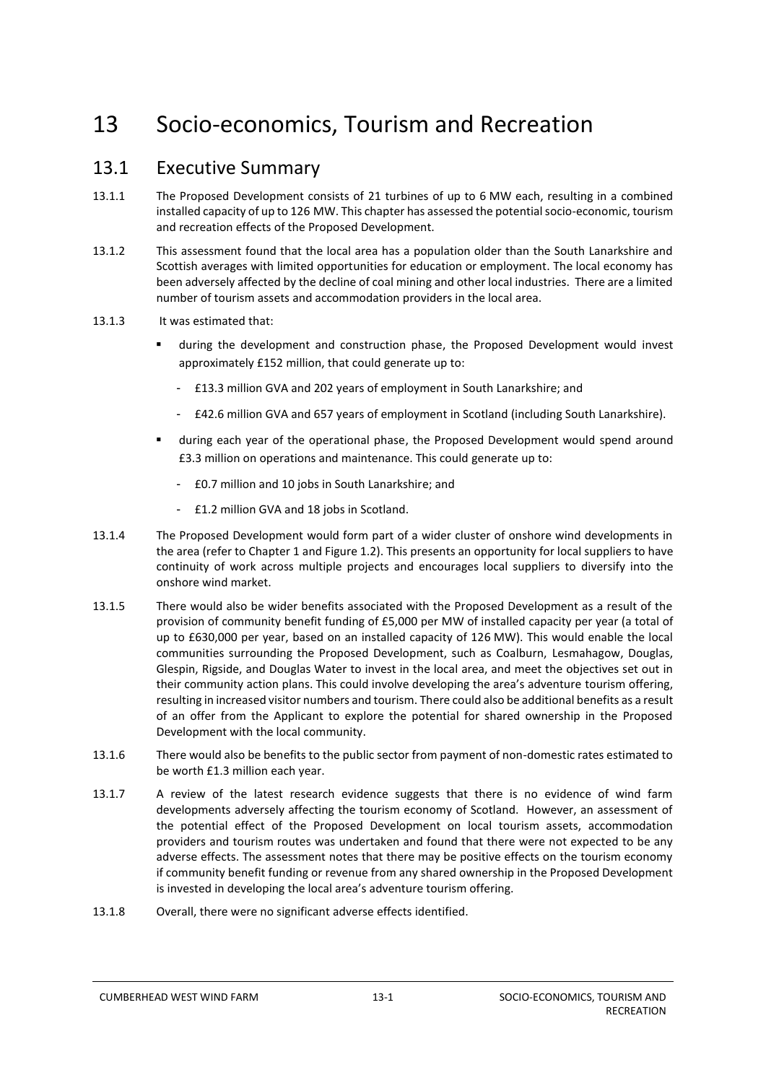# 13 Socio-economics, Tourism and Recreation

# <span id="page-2-0"></span>13.1 Executive Summary

- 13.1.1 The Proposed Development consists of 21 turbines of up to 6 MW each, resulting in a combined installed capacity of up to 126 MW. This chapter has assessed the potential socio-economic, tourism and recreation effects of the Proposed Development.
- 13.1.2 This assessment found that the local area has a population older than the South Lanarkshire and Scottish averages with limited opportunities for education or employment. The local economy has been adversely affected by the decline of coal mining and other local industries. There are a limited number of tourism assets and accommodation providers in the local area.

# 13.1.3 It was estimated that:

- during the development and construction phase, the Proposed Development would invest approximately £152 million, that could generate up to:
	- £13.3 million GVA and 202 years of employment in South Lanarkshire; and
	- £42.6 million GVA and 657 years of employment in Scotland (including South Lanarkshire).
- during each year of the operational phase, the Proposed Development would spend around £3.3 million on operations and maintenance. This could generate up to:
	- £0.7 million and 10 jobs in South Lanarkshire; and
	- £1.2 million GVA and 18 jobs in Scotland.
- 13.1.4 The Proposed Development would form part of a wider cluster of onshore wind developments in the area (refer to Chapter 1 and Figure 1.2). This presents an opportunity for local suppliers to have continuity of work across multiple projects and encourages local suppliers to diversify into the onshore wind market.
- 13.1.5 There would also be wider benefits associated with the Proposed Development as a result of the provision of community benefit funding of £5,000 per MW of installed capacity per year (a total of up to £630,000 per year, based on an installed capacity of 126 MW). This would enable the local communities surrounding the Proposed Development, such as Coalburn, Lesmahagow, Douglas, Glespin, Rigside, and Douglas Water to invest in the local area, and meet the objectives set out in their community action plans. This could involve developing the area's adventure tourism offering, resulting in increased visitor numbers and tourism. There could also be additional benefits as a result of an offer from the Applicant to explore the potential for shared ownership in the Proposed Development with the local community.
- 13.1.6 There would also be benefits to the public sector from payment of non-domestic rates estimated to be worth £1.3 million each year.
- 13.1.7 A review of the latest research evidence suggests that there is no evidence of wind farm developments adversely affecting the tourism economy of Scotland. However, an assessment of the potential effect of the Proposed Development on local tourism assets, accommodation providers and tourism routes was undertaken and found that there were not expected to be any adverse effects. The assessment notes that there may be positive effects on the tourism economy if community benefit funding or revenue from any shared ownership in the Proposed Development is invested in developing the local area's adventure tourism offering.
- 13.1.8 Overall, there were no significant adverse effects identified.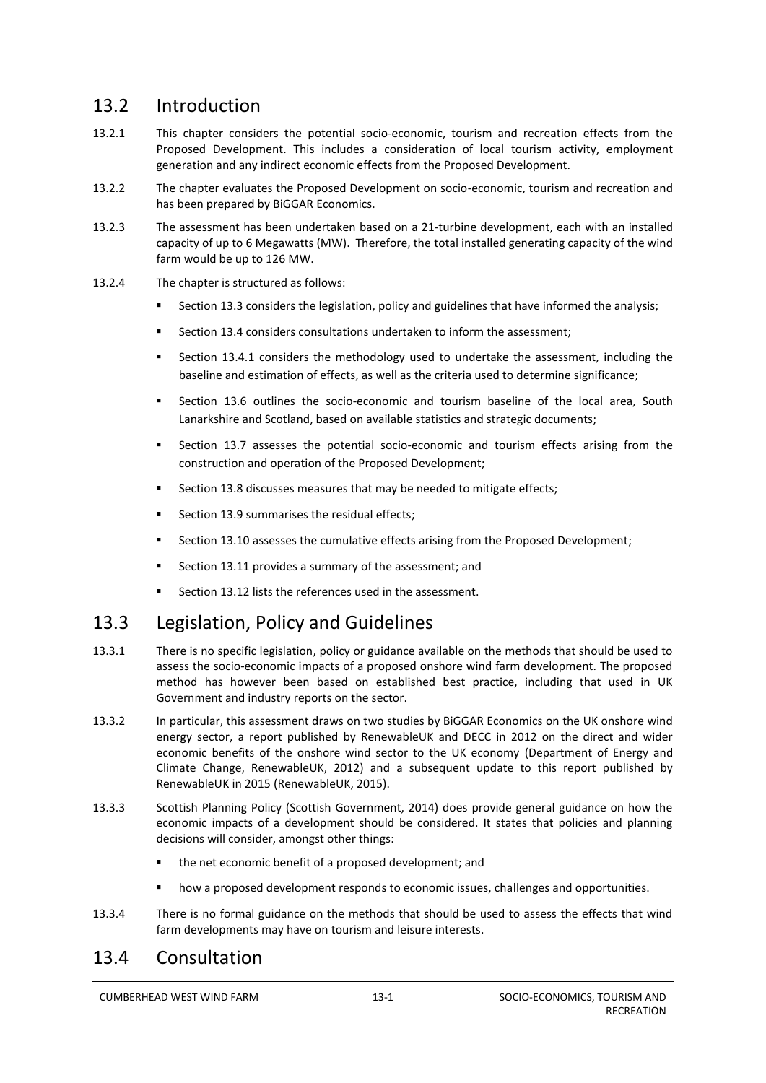# <span id="page-3-0"></span>13.2 Introduction

- 13.2.1 This chapter considers the potential socio-economic, tourism and recreation effects from the Proposed Development. This includes a consideration of local tourism activity, employment generation and any indirect economic effects from the Proposed Development.
- 13.2.2 The chapter evaluates the Proposed Development on socio-economic, tourism and recreation and has been prepared by BiGGAR Economics.
- 13.2.3 The assessment has been undertaken based on a 21-turbine development, each with an installed capacity of up to 6 Megawatts (MW). Therefore, the total installed generating capacity of the wind farm would be up to 126 MW.
- 13.2.4 The chapter is structured as follows:
	- Section [13.3](#page-3-1) considers the legislation, policy and guidelines that have informed the analysis;
	- Section [13.4](#page-3-2) considers consultations undertaken to inform the assessment;
	- **•** Section [13.4.1](#page-4-1) considers the methodology used to undertake the assessment, including the baseline and estimation of effects, as well as the criteria used to determine significance;
	- Section [13.6](#page-7-0) outlines the socio-economic and tourism baseline of the local area. South Lanarkshire and Scotland, based on available statistics and strategic documents;
	- Section [13.7](#page-19-0) assesses the potential socio-economic and tourism effects arising from the construction and operation of the Proposed Development;
	- Section [13.8](#page-30-0) discusses measures that may be needed to mitigate effects:
	- Section [13.9](#page-30-1) summarises the residual effects;
	- **EXECT** Section [13.10](#page-30-2) assesses the cumulative effects arising from the Proposed Development;
	- Section [13.11](#page-31-0) provides a summary of the assessment; and
	- Section [13.12](#page-35-0) lists the references used in the assessment.

# <span id="page-3-1"></span>13.3 Legislation, Policy and Guidelines

- 13.3.1 There is no specific legislation, policy or guidance available on the methods that should be used to assess the socio-economic impacts of a proposed onshore wind farm development. The proposed method has however been based on established best practice, including that used in UK Government and industry reports on the sector.
- 13.3.2 In particular, this assessment draws on two studies by BiGGAR Economics on the UK onshore wind energy sector, a report published by RenewableUK and DECC in 2012 on the direct and wider economic benefits of the onshore wind sector to the UK economy (Department of Energy and Climate Change, RenewableUK, 2012) and a subsequent update to this report published by RenewableUK in 2015 (RenewableUK, 2015).
- 13.3.3 Scottish Planning Policy (Scottish Government, 2014) does provide general guidance on how the economic impacts of a development should be considered. It states that policies and planning decisions will consider, amongst other things:
	- the net economic benefit of a proposed development; and
	- how a proposed development responds to economic issues, challenges and opportunities.
- 13.3.4 There is no formal guidance on the methods that should be used to assess the effects that wind farm developments may have on tourism and leisure interests.

# <span id="page-3-2"></span>13.4 Consultation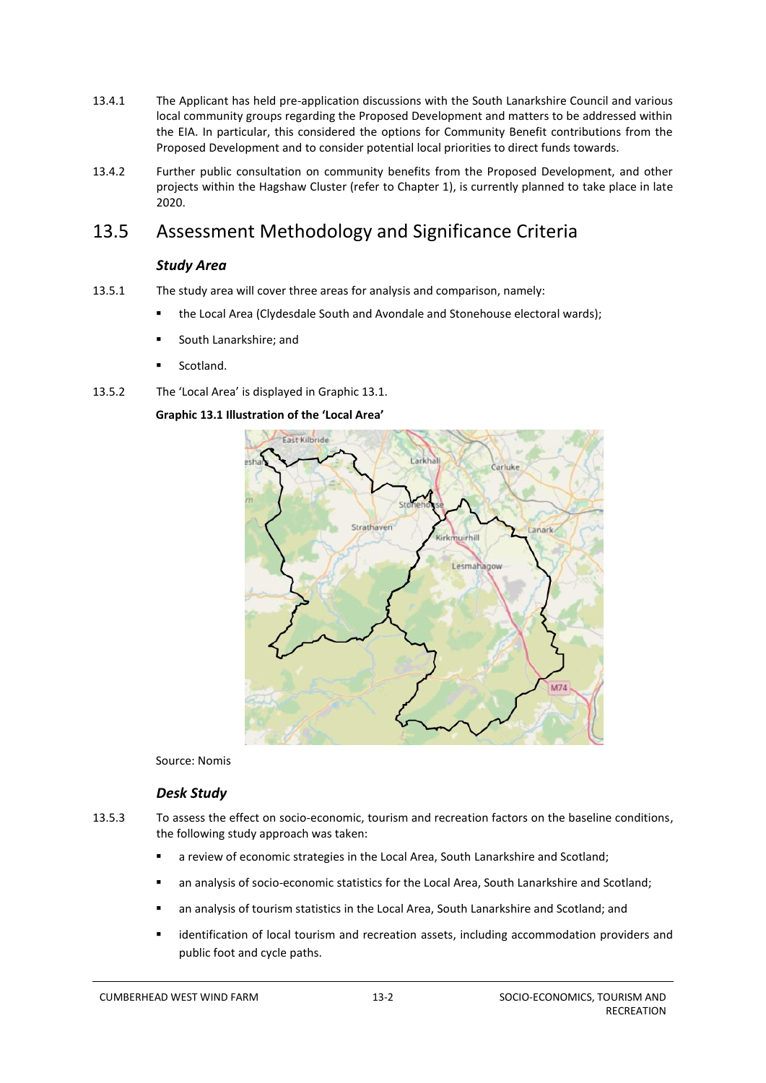- <span id="page-4-1"></span>13.4.1 The Applicant has held pre-application discussions with the South Lanarkshire Council and various local community groups regarding the Proposed Development and matters to be addressed within the EIA. In particular, this considered the options for Community Benefit contributions from the Proposed Development and to consider potential local priorities to direct funds towards.
- 13.4.2 Further public consultation on community benefits from the Proposed Development, and other projects within the Hagshaw Cluster (refer to Chapter 1), is currently planned to take place in late 2020.

# <span id="page-4-0"></span>13.5 Assessment Methodology and Significance Criteria

# *Study Area*

- 13.5.1 The study area will cover three areas for analysis and comparison, namely:
	- the Local Area (Clydesdale South and Avondale and Stonehouse electoral wards);
	- South Lanarkshire; and
	- Scotland.
- <span id="page-4-2"></span>13.5.2 The 'Local Area' is displayed i[n Graphic](#page-4-2) 13.1.

# **Graphic 13.1 Illustration of the 'Local Area'**



#### Source: Nomis

# *Desk Study*

- 13.5.3 To assess the effect on socio-economic, tourism and recreation factors on the baseline conditions, the following study approach was taken:
	- a review of economic strategies in the Local Area, South Lanarkshire and Scotland;
	- an analysis of socio-economic statistics for the Local Area, South Lanarkshire and Scotland;
	- an analysis of tourism statistics in the Local Area, South Lanarkshire and Scotland; and
	- identification of local tourism and recreation assets, including accommodation providers and public foot and cycle paths.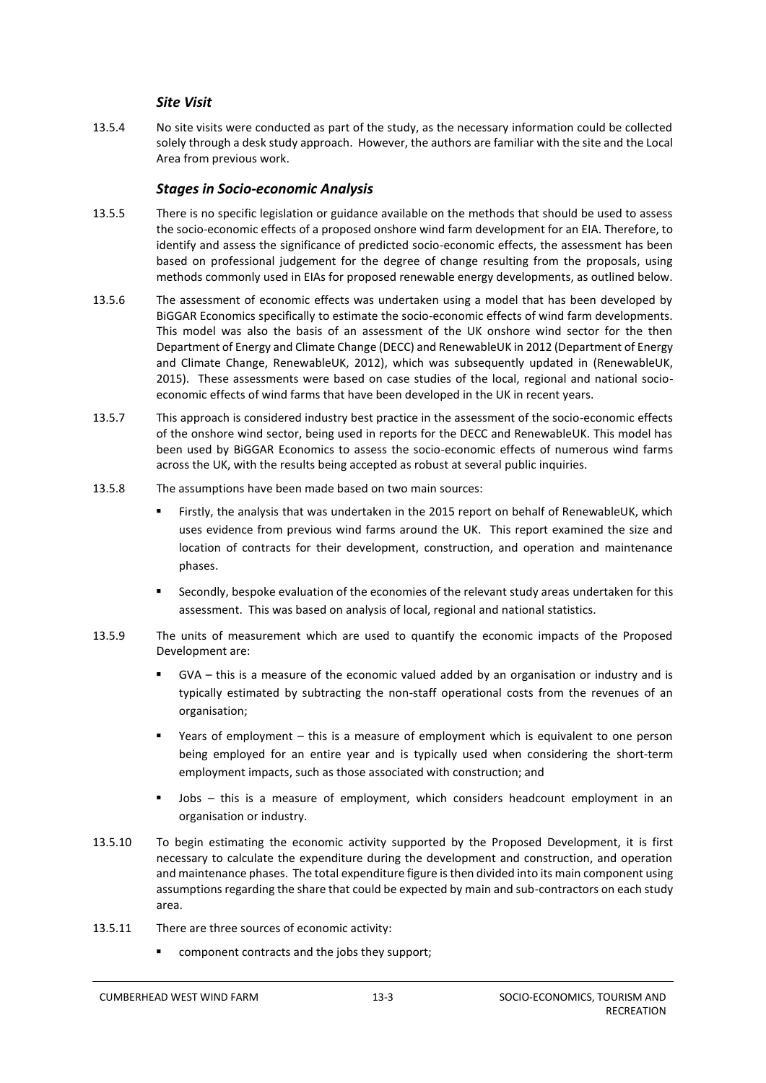# *Site Visit*

13.5.4 No site visits were conducted as part of the study, as the necessary information could be collected solely through a desk study approach. However, the authors are familiar with the site and the Local Area from previous work.

# *Stages in Socio-economic Analysis*

- 13.5.5 There is no specific legislation or guidance available on the methods that should be used to assess the socio-economic effects of a proposed onshore wind farm development for an EIA. Therefore, to identify and assess the significance of predicted socio-economic effects, the assessment has been based on professional judgement for the degree of change resulting from the proposals, using methods commonly used in EIAs for proposed renewable energy developments, as outlined below.
- 13.5.6 The assessment of economic effects was undertaken using a model that has been developed by BiGGAR Economics specifically to estimate the socio-economic effects of wind farm developments. This model was also the basis of an assessment of the UK onshore wind sector for the then Department of Energy and Climate Change (DECC) and RenewableUK in 2012 (Department of Energy and Climate Change, RenewableUK, 2012), which was subsequently updated in (RenewableUK, 2015). These assessments were based on case studies of the local, regional and national socioeconomic effects of wind farms that have been developed in the UK in recent years.
- 13.5.7 This approach is considered industry best practice in the assessment of the socio-economic effects of the onshore wind sector, being used in reports for the DECC and RenewableUK. This model has been used by BiGGAR Economics to assess the socio-economic effects of numerous wind farms across the UK, with the results being accepted as robust at several public inquiries.
- 13.5.8 The assumptions have been made based on two main sources:
	- Firstly, the analysis that was undertaken in the 2015 report on behalf of RenewableUK, which uses evidence from previous wind farms around the UK. This report examined the size and location of contracts for their development, construction, and operation and maintenance phases.
	- Secondly, bespoke evaluation of the economies of the relevant study areas undertaken for this assessment. This was based on analysis of local, regional and national statistics.
- 13.5.9 The units of measurement which are used to quantify the economic impacts of the Proposed Development are:
	- GVA this is a measure of the economic valued added by an organisation or industry and is typically estimated by subtracting the non-staff operational costs from the revenues of an organisation;
	- Years of employment this is a measure of employment which is equivalent to one person being employed for an entire year and is typically used when considering the short-term employment impacts, such as those associated with construction; and
	- Jobs this is a measure of employment, which considers headcount employment in an organisation or industry.
- 13.5.10 To begin estimating the economic activity supported by the Proposed Development, it is first necessary to calculate the expenditure during the development and construction, and operation and maintenance phases. The total expenditure figure is then divided into its main component using assumptions regarding the share that could be expected by main and sub-contractors on each study area.
- 13.5.11 There are three sources of economic activity:
	- component contracts and the jobs they support;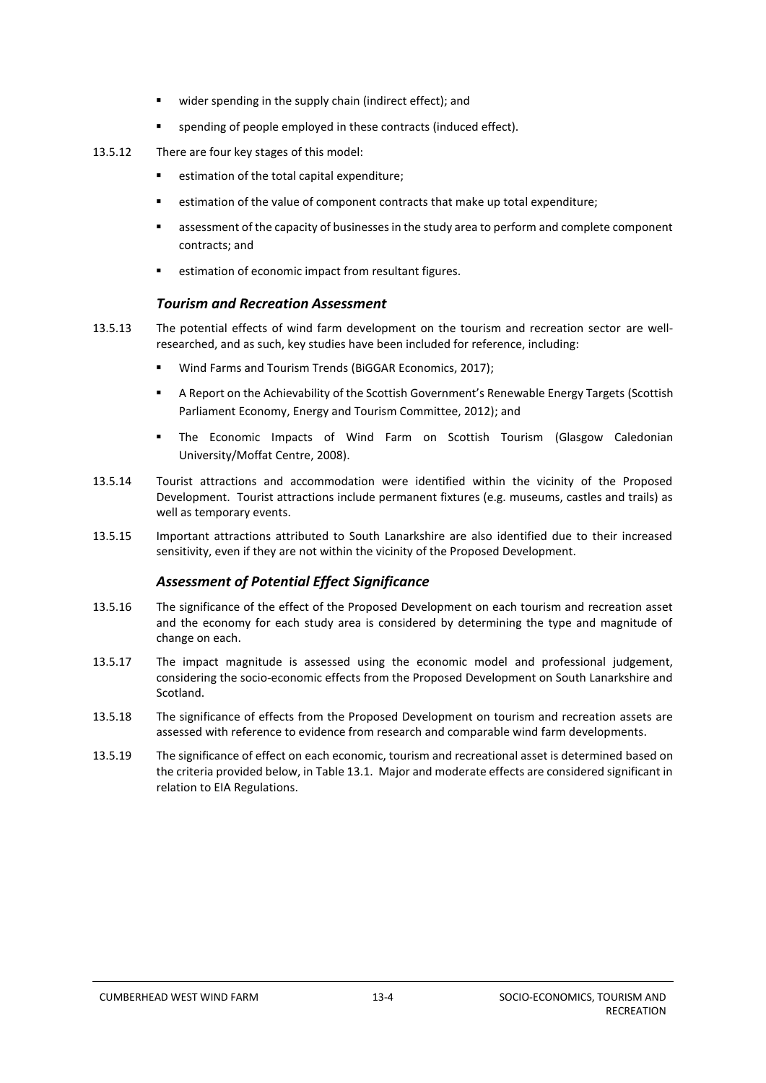- wider spending in the supply chain (indirect effect); and
- spending of people employed in these contracts (induced effect).
- 13.5.12 There are four key stages of this model:
	- estimation of the total capital expenditure;
	- estimation of the value of component contracts that make up total expenditure;
	- **■** assessment of the capacity of businesses in the study area to perform and complete component contracts; and
	- estimation of economic impact from resultant figures.

# *Tourism and Recreation Assessment*

- 13.5.13 The potential effects of wind farm development on the tourism and recreation sector are wellresearched, and as such, key studies have been included for reference, including:
	- Wind Farms and Tourism Trends (BiGGAR Economics, 2017);
	- A Report on the Achievability of the Scottish Government's Renewable Energy Targets (Scottish Parliament Economy, Energy and Tourism Committee, 2012); and
	- The Economic Impacts of Wind Farm on Scottish Tourism (Glasgow Caledonian University/Moffat Centre, 2008).
- 13.5.14 Tourist attractions and accommodation were identified within the vicinity of the Proposed Development. Tourist attractions include permanent fixtures (e.g. museums, castles and trails) as well as temporary events.
- 13.5.15 Important attractions attributed to South Lanarkshire are also identified due to their increased sensitivity, even if they are not within the vicinity of the Proposed Development.

# *Assessment of Potential Effect Significance*

- 13.5.16 The significance of the effect of the Proposed Development on each tourism and recreation asset and the economy for each study area is considered by determining the type and magnitude of change on each.
- 13.5.17 The impact magnitude is assessed using the economic model and professional judgement, considering the socio-economic effects from the Proposed Development on South Lanarkshire and Scotland.
- 13.5.18 The significance of effects from the Proposed Development on tourism and recreation assets are assessed with reference to evidence from research and comparable wind farm developments.
- 13.5.19 The significance of effect on each economic, tourism and recreational asset is determined based on the criteria provided below, i[n Table 13.1.](#page-7-1) Major and moderate effects are considered significant in relation to EIA Regulations.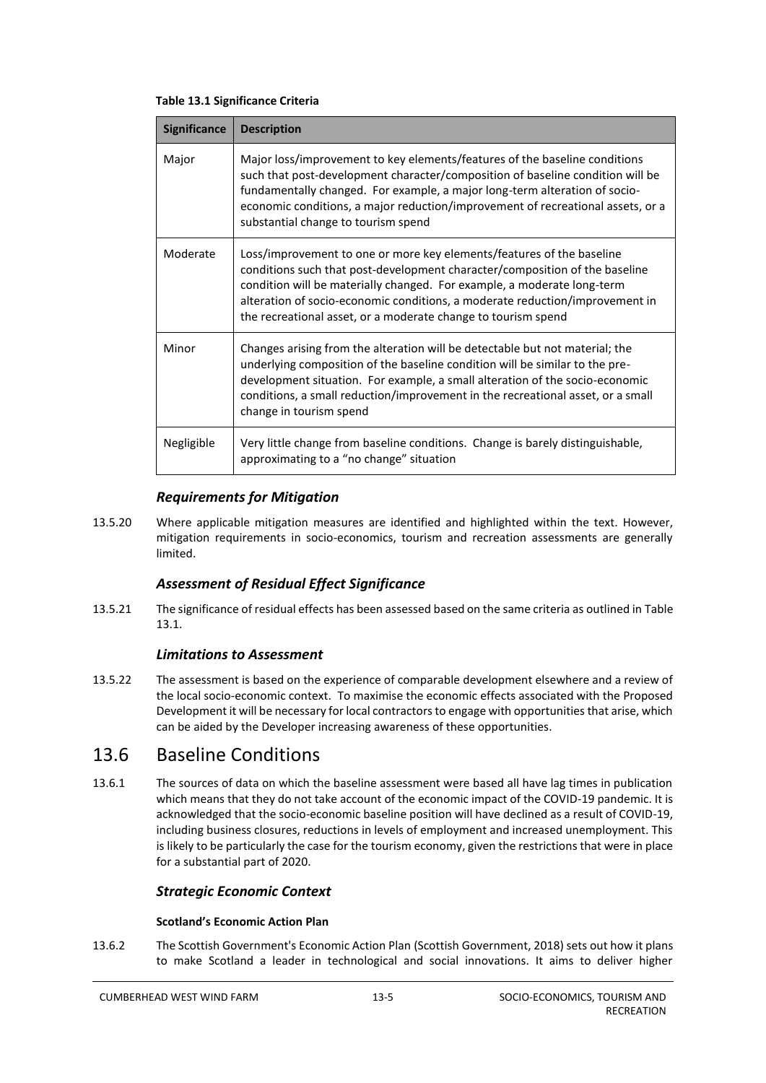# <span id="page-7-1"></span>**Table 13.1 Significance Criteria**

| <b>Significance</b> | <b>Description</b>                                                                                                                                                                                                                                                                                                                                                               |
|---------------------|----------------------------------------------------------------------------------------------------------------------------------------------------------------------------------------------------------------------------------------------------------------------------------------------------------------------------------------------------------------------------------|
| Major               | Major loss/improvement to key elements/features of the baseline conditions<br>such that post-development character/composition of baseline condition will be<br>fundamentally changed. For example, a major long-term alteration of socio-<br>economic conditions, a major reduction/improvement of recreational assets, or a<br>substantial change to tourism spend             |
| Moderate            | Loss/improvement to one or more key elements/features of the baseline<br>conditions such that post-development character/composition of the baseline<br>condition will be materially changed. For example, a moderate long-term<br>alteration of socio-economic conditions, a moderate reduction/improvement in<br>the recreational asset, or a moderate change to tourism spend |
| Minor               | Changes arising from the alteration will be detectable but not material; the<br>underlying composition of the baseline condition will be similar to the pre-<br>development situation. For example, a small alteration of the socio-economic<br>conditions, a small reduction/improvement in the recreational asset, or a small<br>change in tourism spend                       |
| Negligible          | Very little change from baseline conditions. Change is barely distinguishable,<br>approximating to a "no change" situation                                                                                                                                                                                                                                                       |

# *Requirements for Mitigation*

13.5.20 Where applicable mitigation measures are identified and highlighted within the text. However, mitigation requirements in socio-economics, tourism and recreation assessments are generally limited.

# *Assessment of Residual Effect Significance*

13.5.21 The significance of residual effects has been assessed based on the same criteria as outlined i[n Table](#page-7-1)  [13.1.](#page-7-1)

# *Limitations to Assessment*

13.5.22 The assessment is based on the experience of comparable development elsewhere and a review of the local socio-economic context. To maximise the economic effects associated with the Proposed Development it will be necessary for local contractors to engage with opportunities that arise, which can be aided by the Developer increasing awareness of these opportunities.

# <span id="page-7-0"></span>13.6 Baseline Conditions

13.6.1 The sources of data on which the baseline assessment were based all have lag times in publication which means that they do not take account of the economic impact of the COVID-19 pandemic. It is acknowledged that the socio-economic baseline position will have declined as a result of COVID-19, including business closures, reductions in levels of employment and increased unemployment. This is likely to be particularly the case for the tourism economy, given the restrictions that were in place for a substantial part of 2020.

# *Strategic Economic Context*

# **Scotland's Economic Action Plan**

13.6.2 The Scottish Government's Economic Action Plan (Scottish Government, 2018) sets out how it plans to make Scotland a leader in technological and social innovations. It aims to deliver higher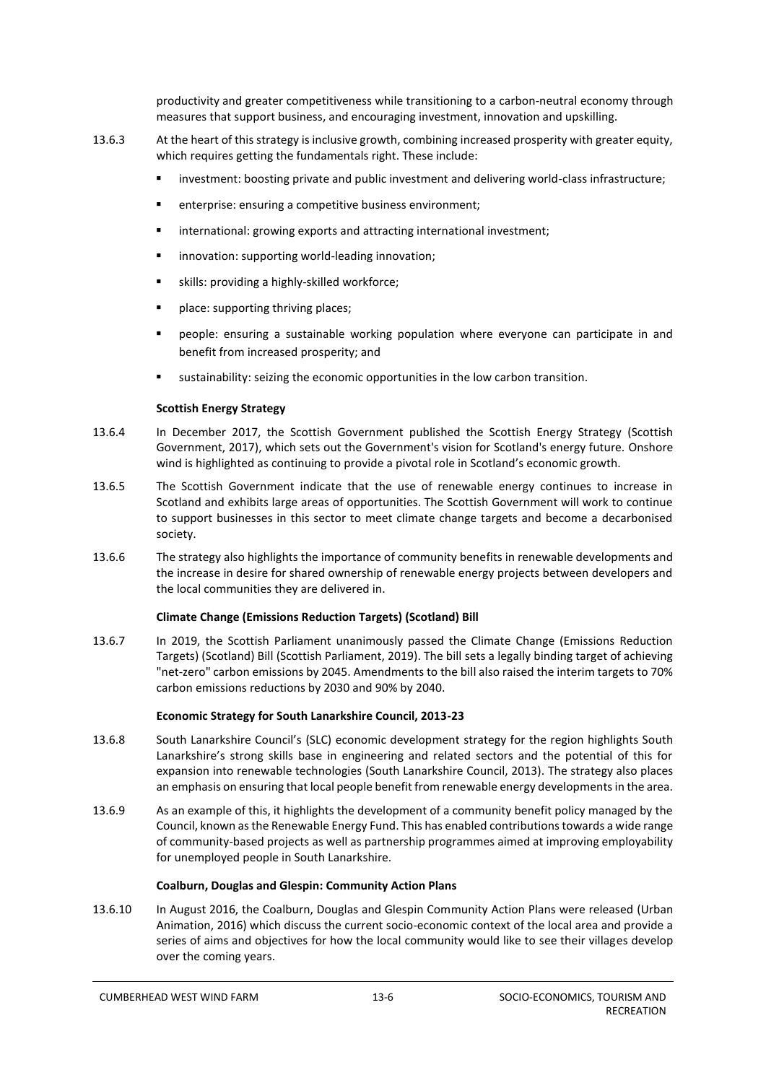productivity and greater competitiveness while transitioning to a carbon-neutral economy through measures that support business, and encouraging investment, innovation and upskilling.

- 13.6.3 At the heart of this strategy is inclusive growth, combining increased prosperity with greater equity, which requires getting the fundamentals right. These include:
	- investment: boosting private and public investment and delivering world-class infrastructure;
	- enterprise: ensuring a competitive business environment;
	- international: growing exports and attracting international investment;
	- innovation: supporting world-leading innovation;
	- skills: providing a highly-skilled workforce;
	- place: supporting thriving places;
	- people: ensuring a sustainable working population where everyone can participate in and benefit from increased prosperity; and
	- sustainability: seizing the economic opportunities in the low carbon transition.

#### **Scottish Energy Strategy**

- 13.6.4 In December 2017, the Scottish Government published the Scottish Energy Strategy (Scottish Government, 2017), which sets out the Government's vision for Scotland's energy future. Onshore wind is highlighted as continuing to provide a pivotal role in Scotland's economic growth.
- 13.6.5 The Scottish Government indicate that the use of renewable energy continues to increase in Scotland and exhibits large areas of opportunities. The Scottish Government will work to continue to support businesses in this sector to meet climate change targets and become a decarbonised society.
- 13.6.6 The strategy also highlights the importance of community benefits in renewable developments and the increase in desire for shared ownership of renewable energy projects between developers and the local communities they are delivered in.

# **Climate Change (Emissions Reduction Targets) (Scotland) Bill**

13.6.7 In 2019, the Scottish Parliament unanimously passed the Climate Change (Emissions Reduction Targets) (Scotland) Bill (Scottish Parliament, 2019). The bill sets a legally binding target of achieving "net-zero" carbon emissions by 2045. Amendments to the bill also raised the interim targets to 70% carbon emissions reductions by 2030 and 90% by 2040.

# **Economic Strategy for South Lanarkshire Council, 2013-23**

- 13.6.8 South Lanarkshire Council's (SLC) economic development strategy for the region highlights South Lanarkshire's strong skills base in engineering and related sectors and the potential of this for expansion into renewable technologies (South Lanarkshire Council, 2013). The strategy also places an emphasis on ensuring that local people benefit from renewable energy developments in the area.
- 13.6.9 As an example of this, it highlights the development of a community benefit policy managed by the Council, known as the Renewable Energy Fund. This has enabled contributions towards a wide range of community-based projects as well as partnership programmes aimed at improving employability for unemployed people in South Lanarkshire.

#### **Coalburn, Douglas and Glespin: Community Action Plans**

13.6.10 In August 2016, the Coalburn, Douglas and Glespin Community Action Plans were released (Urban Animation, 2016) which discuss the current socio-economic context of the local area and provide a series of aims and objectives for how the local community would like to see their villages develop over the coming years.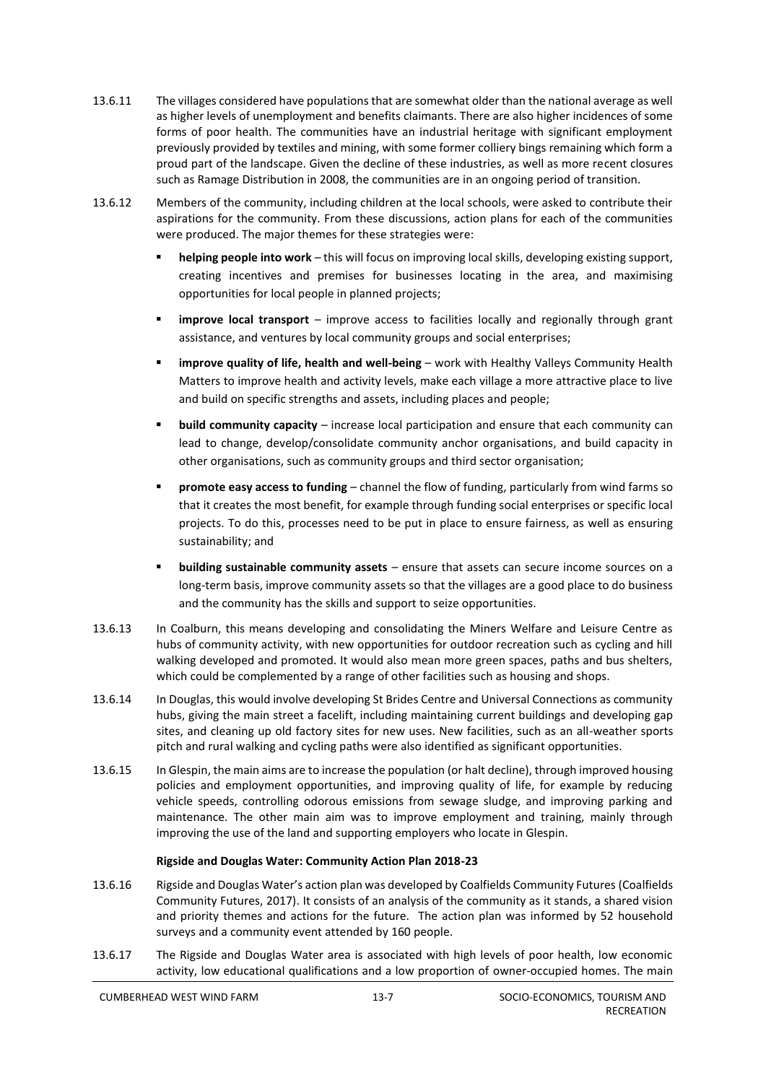- 13.6.11 The villages considered have populations that are somewhat older than the national average as well as higher levels of unemployment and benefits claimants. There are also higher incidences of some forms of poor health. The communities have an industrial heritage with significant employment previously provided by textiles and mining, with some former colliery bings remaining which form a proud part of the landscape. Given the decline of these industries, as well as more recent closures such as Ramage Distribution in 2008, the communities are in an ongoing period of transition.
- 13.6.12 Members of the community, including children at the local schools, were asked to contribute their aspirations for the community. From these discussions, action plans for each of the communities were produced. The major themes for these strategies were:
	- **helping people into work** this will focus on improving local skills, developing existing support, creating incentives and premises for businesses locating in the area, and maximising opportunities for local people in planned projects;
	- **EXECO improve local transport** improve access to facilities locally and regionally through grant assistance, and ventures by local community groups and social enterprises;
	- **improve quality of life, health and well-being** work with Healthy Valleys Community Health Matters to improve health and activity levels, make each village a more attractive place to live and build on specific strengths and assets, including places and people;
	- **build community capacity** increase local participation and ensure that each community can lead to change, develop/consolidate community anchor organisations, and build capacity in other organisations, such as community groups and third sector organisation;
	- **promote easy access to funding** channel the flow of funding, particularly from wind farms so that it creates the most benefit, for example through funding social enterprises or specific local projects. To do this, processes need to be put in place to ensure fairness, as well as ensuring sustainability; and
	- **building sustainable community assets** ensure that assets can secure income sources on a long-term basis, improve community assets so that the villages are a good place to do business and the community has the skills and support to seize opportunities.
- 13.6.13 In Coalburn, this means developing and consolidating the Miners Welfare and Leisure Centre as hubs of community activity, with new opportunities for outdoor recreation such as cycling and hill walking developed and promoted. It would also mean more green spaces, paths and bus shelters, which could be complemented by a range of other facilities such as housing and shops.
- 13.6.14 In Douglas, this would involve developing St Brides Centre and Universal Connections as community hubs, giving the main street a facelift, including maintaining current buildings and developing gap sites, and cleaning up old factory sites for new uses. New facilities, such as an all-weather sports pitch and rural walking and cycling paths were also identified as significant opportunities.
- 13.6.15 In Glespin, the main aims are to increase the population (or halt decline), through improved housing policies and employment opportunities, and improving quality of life, for example by reducing vehicle speeds, controlling odorous emissions from sewage sludge, and improving parking and maintenance. The other main aim was to improve employment and training, mainly through improving the use of the land and supporting employers who locate in Glespin.

#### **Rigside and Douglas Water: Community Action Plan 2018-23**

- 13.6.16 Rigside and Douglas Water's action plan was developed by Coalfields Community Futures (Coalfields Community Futures, 2017). It consists of an analysis of the community as it stands, a shared vision and priority themes and actions for the future. The action plan was informed by 52 household surveys and a community event attended by 160 people.
- 13.6.17 The Rigside and Douglas Water area is associated with high levels of poor health, low economic activity, low educational qualifications and a low proportion of owner-occupied homes. The main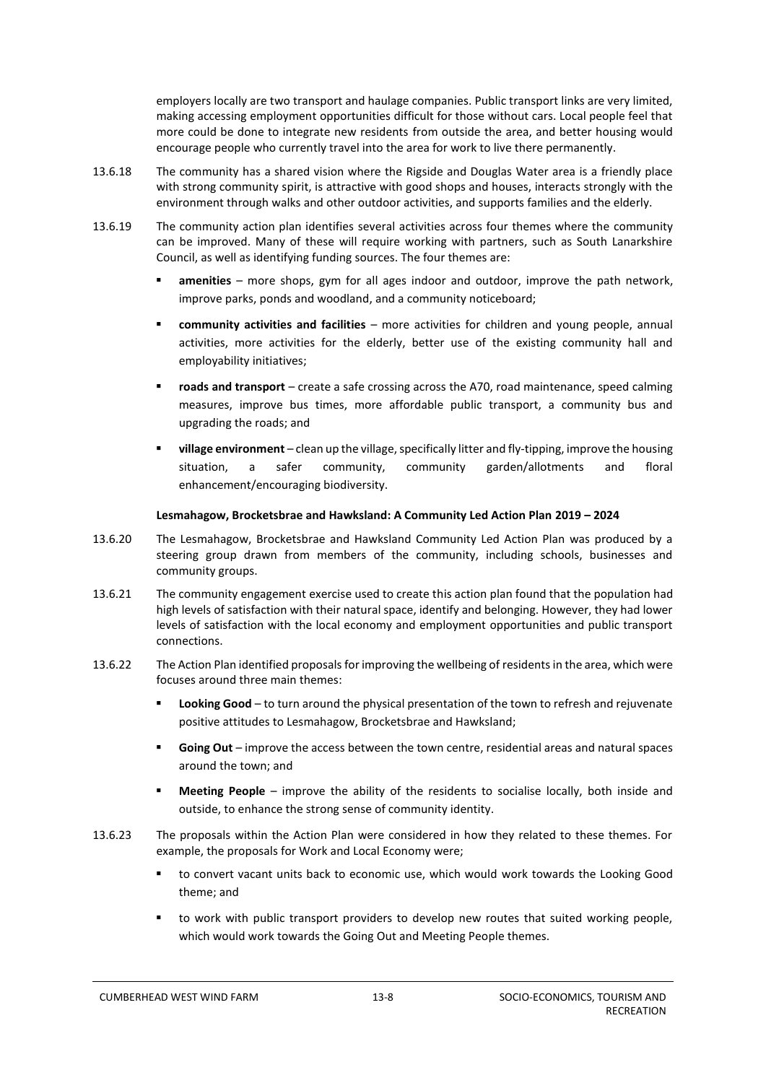employers locally are two transport and haulage companies. Public transport links are very limited, making accessing employment opportunities difficult for those without cars. Local people feel that more could be done to integrate new residents from outside the area, and better housing would encourage people who currently travel into the area for work to live there permanently.

- 13.6.18 The community has a shared vision where the Rigside and Douglas Water area is a friendly place with strong community spirit, is attractive with good shops and houses, interacts strongly with the environment through walks and other outdoor activities, and supports families and the elderly.
- 13.6.19 The community action plan identifies several activities across four themes where the community can be improved. Many of these will require working with partners, such as South Lanarkshire Council, as well as identifying funding sources. The four themes are:
	- **E** amenities more shops, gym for all ages indoor and outdoor, improve the path network, improve parks, ponds and woodland, and a community noticeboard;
	- **EXECOMMUNITY Activities and facilities** more activities for children and young people, annual activities, more activities for the elderly, better use of the existing community hall and employability initiatives;
	- **roads and transport** create a safe crossing across the A70, road maintenance, speed calming measures, improve bus times, more affordable public transport, a community bus and upgrading the roads; and
	- village environment clean up the village, specifically litter and fly-tipping, improve the housing situation, a safer community, community garden/allotments and floral enhancement/encouraging biodiversity.

#### **Lesmahagow, Brocketsbrae and Hawksland: A Community Led Action Plan 2019 – 2024**

- 13.6.20 The Lesmahagow, Brocketsbrae and Hawksland Community Led Action Plan was produced by a steering group drawn from members of the community, including schools, businesses and community groups.
- 13.6.21 The community engagement exercise used to create this action plan found that the population had high levels of satisfaction with their natural space, identify and belonging. However, they had lower levels of satisfaction with the local economy and employment opportunities and public transport connections.
- 13.6.22 The Action Plan identified proposals for improving the wellbeing of residentsin the area, which were focuses around three main themes:
	- **Looking Good** to turn around the physical presentation of the town to refresh and rejuvenate positive attitudes to Lesmahagow, Brocketsbrae and Hawksland;
	- **Going Out** improve the access between the town centre, residential areas and natural spaces around the town; and
	- **Meeting People** improve the ability of the residents to socialise locally, both inside and outside, to enhance the strong sense of community identity.
- 13.6.23 The proposals within the Action Plan were considered in how they related to these themes. For example, the proposals for Work and Local Economy were;
	- to convert vacant units back to economic use, which would work towards the Looking Good theme; and
	- to work with public transport providers to develop new routes that suited working people, which would work towards the Going Out and Meeting People themes.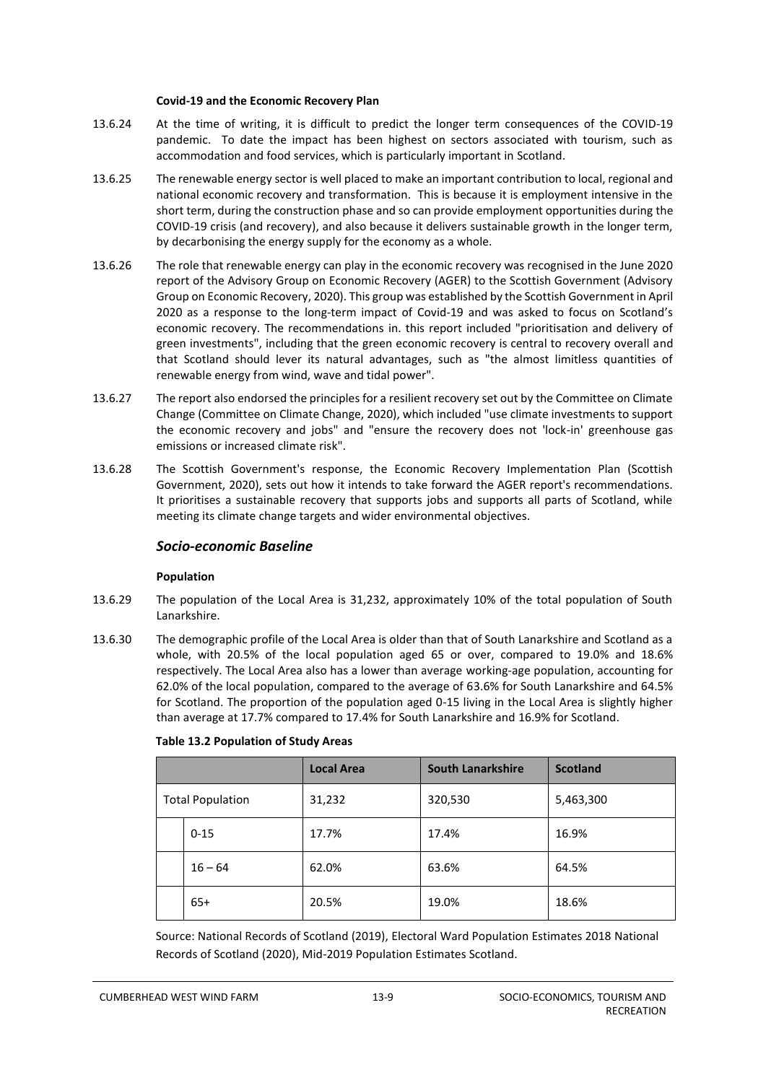#### **Covid-19 and the Economic Recovery Plan**

- 13.6.24 At the time of writing, it is difficult to predict the longer term consequences of the COVID-19 pandemic. To date the impact has been highest on sectors associated with tourism, such as accommodation and food services, which is particularly important in Scotland.
- 13.6.25 The renewable energy sector is well placed to make an important contribution to local, regional and national economic recovery and transformation. This is because it is employment intensive in the short term, during the construction phase and so can provide employment opportunities during the COVID-19 crisis (and recovery), and also because it delivers sustainable growth in the longer term, by decarbonising the energy supply for the economy as a whole.
- 13.6.26 The role that renewable energy can play in the economic recovery was recognised in the June 2020 report of the Advisory Group on Economic Recovery (AGER) to the Scottish Government (Advisory Group on Economic Recovery, 2020). This group was established by the Scottish Government in April 2020 as a response to the long-term impact of Covid-19 and was asked to focus on Scotland's economic recovery. The recommendations in. this report included "prioritisation and delivery of green investments", including that the green economic recovery is central to recovery overall and that Scotland should lever its natural advantages, such as "the almost limitless quantities of renewable energy from wind, wave and tidal power".
- 13.6.27 The report also endorsed the principles for a resilient recovery set out by the Committee on Climate Change (Committee on Climate Change, 2020), which included "use climate investments to support the economic recovery and jobs" and "ensure the recovery does not 'lock-in' greenhouse gas emissions or increased climate risk".
- 13.6.28 The Scottish Government's response, the Economic Recovery Implementation Plan (Scottish Government, 2020), sets out how it intends to take forward the AGER report's recommendations. It prioritises a sustainable recovery that supports jobs and supports all parts of Scotland, while meeting its climate change targets and wider environmental objectives.

# *Socio-economic Baseline*

# **Population**

- 13.6.29 The population of the Local Area is 31,232, approximately 10% of the total population of South Lanarkshire.
- 13.6.30 The demographic profile of the Local Area is older than that of South Lanarkshire and Scotland as a whole, with 20.5% of the local population aged 65 or over, compared to 19.0% and 18.6% respectively. The Local Area also has a lower than average working-age population, accounting for 62.0% of the local population, compared to the average of 63.6% for South Lanarkshire and 64.5% for Scotland. The proportion of the population aged 0-15 living in the Local Area is slightly higher than average at 17.7% compared to 17.4% for South Lanarkshire and 16.9% for Scotland.

|                         | <b>Local Area</b> | <b>South Lanarkshire</b> | <b>Scotland</b> |
|-------------------------|-------------------|--------------------------|-----------------|
| <b>Total Population</b> | 31,232            | 320,530                  | 5,463,300       |
| $0 - 15$                | 17.7%             | 17.4%                    | 16.9%           |
| $16 - 64$               | 62.0%             | 63.6%                    | 64.5%           |
| $65+$                   | 20.5%             | 19.0%                    | 18.6%           |

# **Table 13.2 Population of Study Areas**

Source: National Records of Scotland (2019), Electoral Ward Population Estimates 2018 National Records of Scotland (2020), Mid-2019 Population Estimates Scotland.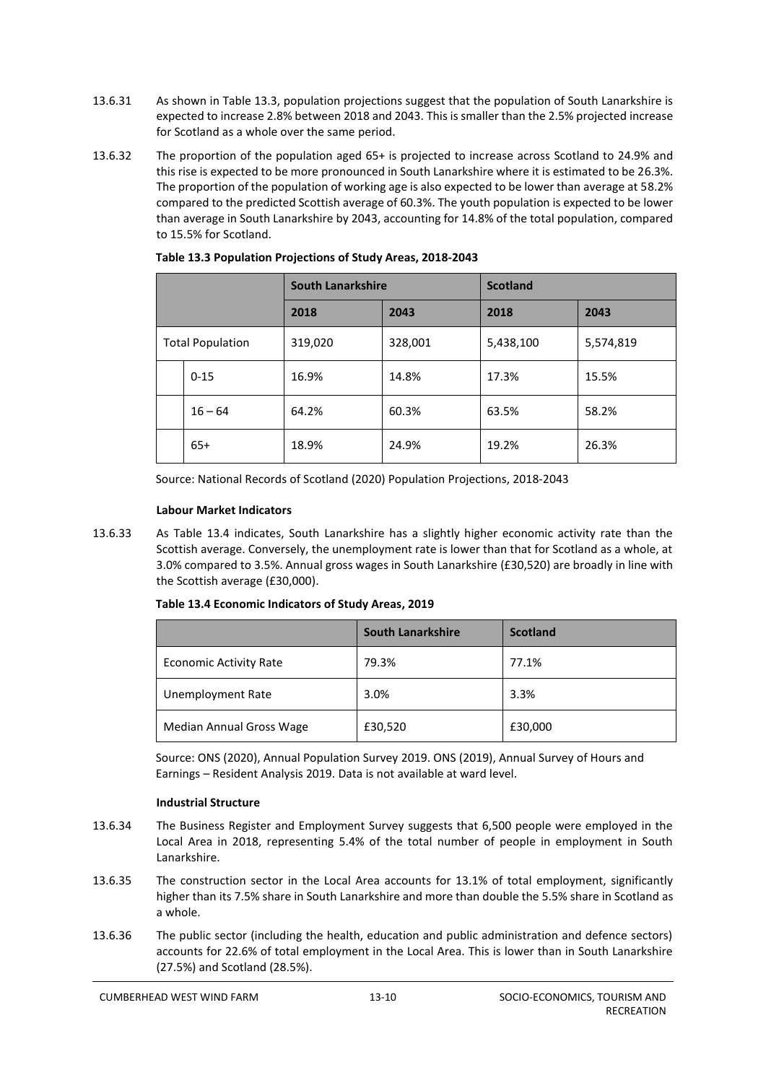- 13.6.31 As shown in [Table 13.3,](#page-12-0) population projections suggest that the population of South Lanarkshire is expected to increase 2.8% between 2018 and 2043. This is smaller than the 2.5% projected increase for Scotland as a whole over the same period.
- 13.6.32 The proportion of the population aged 65+ is projected to increase across Scotland to 24.9% and this rise is expected to be more pronounced in South Lanarkshire where it is estimated to be 26.3%. The proportion of the population of working age is also expected to be lower than average at 58.2% compared to the predicted Scottish average of 60.3%. The youth population is expected to be lower than average in South Lanarkshire by 2043, accounting for 14.8% of the total population, compared to 15.5% for Scotland.

| <b>South Lanarkshire</b> |                         |         | <b>Scotland</b> |           |           |
|--------------------------|-------------------------|---------|-----------------|-----------|-----------|
|                          |                         | 2018    | 2043            | 2018      | 2043      |
|                          | <b>Total Population</b> | 319,020 | 328,001         | 5,438,100 | 5,574,819 |
|                          | $0 - 15$                | 16.9%   | 14.8%           | 17.3%     | 15.5%     |
|                          | $16 - 64$               | 64.2%   | 60.3%           | 63.5%     | 58.2%     |
|                          | $65+$                   | 18.9%   | 24.9%           | 19.2%     | 26.3%     |

<span id="page-12-0"></span>

|  | Table 13.3 Population Projections of Study Areas, 2018-2043 |  |  |
|--|-------------------------------------------------------------|--|--|
|  |                                                             |  |  |

Source: National Records of Scotland (2020) Population Projections, 2018-2043

#### **Labour Market Indicators**

13.6.33 As [Table 13.4](#page-12-1) indicates, South Lanarkshire has a slightly higher economic activity rate than the Scottish average. Conversely, the unemployment rate is lower than that for Scotland as a whole, at 3.0% compared to 3.5%. Annual gross wages in South Lanarkshire (£30,520) are broadly in line with the Scottish average (£30,000).

<span id="page-12-1"></span>

| Table 13.4 Economic Indicators of Study Areas, 2019 |  |
|-----------------------------------------------------|--|
|-----------------------------------------------------|--|

|                               | <b>South Lanarkshire</b> | <b>Scotland</b> |
|-------------------------------|--------------------------|-----------------|
| <b>Economic Activity Rate</b> | 79.3%                    | 77.1%           |
| Unemployment Rate             | 3.0%                     | 3.3%            |
| Median Annual Gross Wage      | £30,520                  | £30,000         |

Source: ONS (2020), Annual Population Survey 2019. ONS (2019), Annual Survey of Hours and Earnings – Resident Analysis 2019. Data is not available at ward level.

#### **Industrial Structure**

- 13.6.34 The Business Register and Employment Survey suggests that 6,500 people were employed in the Local Area in 2018, representing 5.4% of the total number of people in employment in South Lanarkshire.
- 13.6.35 The construction sector in the Local Area accounts for 13.1% of total employment, significantly higher than its 7.5% share in South Lanarkshire and more than double the 5.5% share in Scotland as a whole.
- 13.6.36 The public sector (including the health, education and public administration and defence sectors) accounts for 22.6% of total employment in the Local Area. This is lower than in South Lanarkshire (27.5%) and Scotland (28.5%).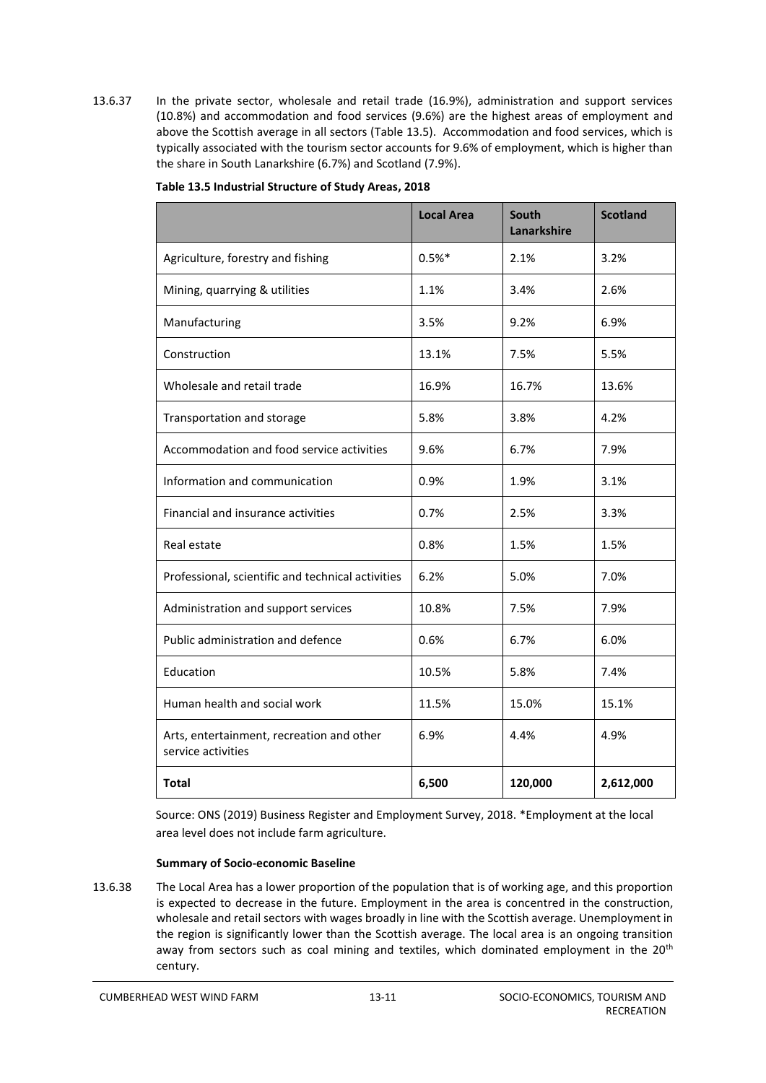13.6.37 In the private sector, wholesale and retail trade (16.9%), administration and support services (10.8%) and accommodation and food services (9.6%) are the highest areas of employment and above the Scottish average in all sectors [\(Table 13.5\)](#page-13-0). Accommodation and food services, which is typically associated with the tourism sector accounts for 9.6% of employment, which is higher than the share in South Lanarkshire (6.7%) and Scotland (7.9%).

|                                                                 | <b>Local Area</b> | <b>South</b><br>Lanarkshire | <b>Scotland</b> |
|-----------------------------------------------------------------|-------------------|-----------------------------|-----------------|
| Agriculture, forestry and fishing                               | $0.5%$ *          | 2.1%                        | 3.2%            |
| Mining, quarrying & utilities                                   | 1.1%              | 3.4%                        | 2.6%            |
| Manufacturing                                                   | 3.5%              | 9.2%                        | 6.9%            |
| Construction                                                    | 13.1%             | 7.5%                        | 5.5%            |
| Wholesale and retail trade                                      | 16.9%             | 16.7%                       | 13.6%           |
| Transportation and storage                                      | 5.8%              | 3.8%                        | 4.2%            |
| Accommodation and food service activities                       | 9.6%              | 6.7%                        | 7.9%            |
| Information and communication                                   | 0.9%              | 1.9%                        | 3.1%            |
| Financial and insurance activities                              | 0.7%              | 2.5%                        | 3.3%            |
| Real estate                                                     | 0.8%              | 1.5%                        | 1.5%            |
| Professional, scientific and technical activities               | 6.2%              | 5.0%                        | 7.0%            |
| Administration and support services                             | 10.8%             | 7.5%                        | 7.9%            |
| Public administration and defence                               | 0.6%              | 6.7%                        | 6.0%            |
| Education                                                       | 10.5%             | 5.8%                        | 7.4%            |
| Human health and social work                                    | 11.5%             | 15.0%                       | 15.1%           |
| Arts, entertainment, recreation and other<br>service activities | 6.9%              | 4.4%                        | 4.9%            |
| <b>Total</b>                                                    | 6,500             | 120,000                     | 2,612,000       |

### <span id="page-13-0"></span>**Table 13.5 Industrial Structure of Study Areas, 2018**

Source: ONS (2019) Business Register and Employment Survey, 2018. \*Employment at the local area level does not include farm agriculture.

# **Summary of Socio-economic Baseline**

13.6.38 The Local Area has a lower proportion of the population that is of working age, and this proportion is expected to decrease in the future. Employment in the area is concentred in the construction, wholesale and retail sectors with wages broadly in line with the Scottish average. Unemployment in the region is significantly lower than the Scottish average. The local area is an ongoing transition away from sectors such as coal mining and textiles, which dominated employment in the 20<sup>th</sup> century.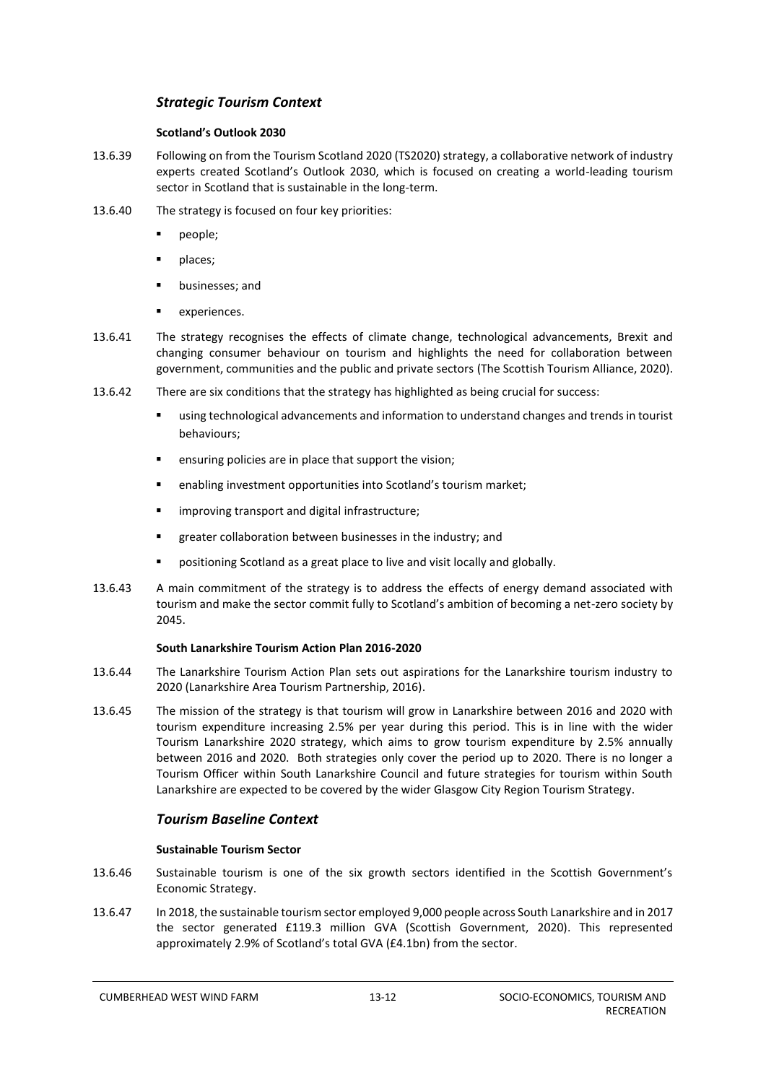# *Strategic Tourism Context*

### **Scotland's Outlook 2030**

- 13.6.39 Following on from the Tourism Scotland 2020 (TS2020) strategy, a collaborative network of industry experts created Scotland's Outlook 2030, which is focused on creating a world-leading tourism sector in Scotland that is sustainable in the long-term.
- 13.6.40 The strategy is focused on four key priorities:
	- people;
	- places;
	- businesses; and
	- experiences.
- 13.6.41 The strategy recognises the effects of climate change, technological advancements, Brexit and changing consumer behaviour on tourism and highlights the need for collaboration between government, communities and the public and private sectors (The Scottish Tourism Alliance, 2020).
- 13.6.42 There are six conditions that the strategy has highlighted as being crucial for success:
	- using technological advancements and information to understand changes and trends in tourist behaviours;
	- ensuring policies are in place that support the vision;
	- enabling investment opportunities into Scotland's tourism market;
	- improving transport and digital infrastructure;
	- **E** greater collaboration between businesses in the industry; and
	- positioning Scotland as a great place to live and visit locally and globally.
- 13.6.43 A main commitment of the strategy is to address the effects of energy demand associated with tourism and make the sector commit fully to Scotland's ambition of becoming a net-zero society by 2045.

# **South Lanarkshire Tourism Action Plan 2016-2020**

- 13.6.44 The Lanarkshire Tourism Action Plan sets out aspirations for the Lanarkshire tourism industry to 2020 (Lanarkshire Area Tourism Partnership, 2016).
- 13.6.45 The mission of the strategy is that tourism will grow in Lanarkshire between 2016 and 2020 with tourism expenditure increasing 2.5% per year during this period. This is in line with the wider Tourism Lanarkshire 2020 strategy, which aims to grow tourism expenditure by 2.5% annually between 2016 and 2020. Both strategies only cover the period up to 2020. There is no longer a Tourism Officer within South Lanarkshire Council and future strategies for tourism within South Lanarkshire are expected to be covered by the wider Glasgow City Region Tourism Strategy.

# *Tourism Baseline Context*

# **Sustainable Tourism Sector**

- 13.6.46 Sustainable tourism is one of the six growth sectors identified in the Scottish Government's Economic Strategy.
- 13.6.47 In 2018, the sustainable tourism sector employed 9,000 people across South Lanarkshire and in 2017 the sector generated £119.3 million GVA (Scottish Government, 2020). This represented approximately 2.9% of Scotland's total GVA (£4.1bn) from the sector.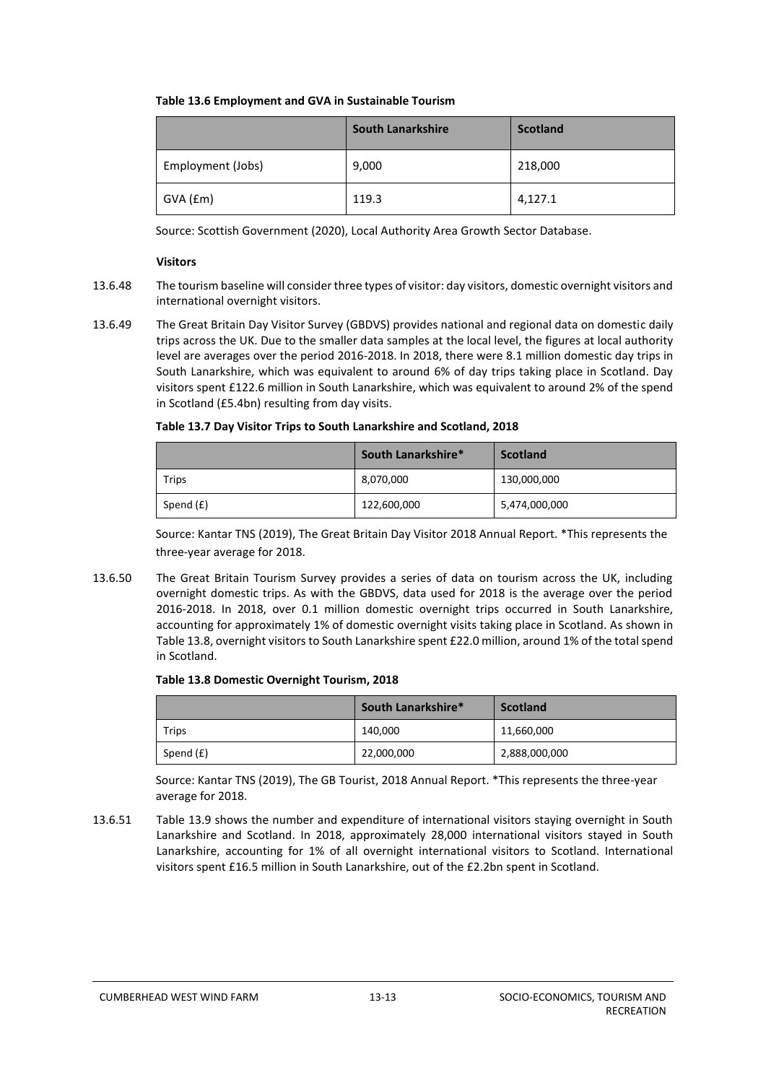#### **Table 13.6 Employment and GVA in Sustainable Tourism**

|                   | <b>South Lanarkshire</b> | <b>Scotland</b> |
|-------------------|--------------------------|-----------------|
| Employment (Jobs) | 9,000                    | 218,000         |
| GVA (£m)          | 119.3                    | 4,127.1         |

Source: Scottish Government (2020), Local Authority Area Growth Sector Database.

#### **Visitors**

- 13.6.48 The tourism baseline will consider three types of visitor: day visitors, domestic overnight visitors and international overnight visitors.
- 13.6.49 The Great Britain Day Visitor Survey (GBDVS) provides national and regional data on domestic daily trips across the UK. Due to the smaller data samples at the local level, the figures at local authority level are averages over the period 2016-2018. In 2018, there were 8.1 million domestic day trips in South Lanarkshire, which was equivalent to around 6% of day trips taking place in Scotland. Day visitors spent £122.6 million in South Lanarkshire, which was equivalent to around 2% of the spend in Scotland (£5.4bn) resulting from day visits.

|           | South Lanarkshire* | <b>Scotland</b> |
|-----------|--------------------|-----------------|
| Trips     | 8,070,000          | 130,000,000     |
| Spend (£) | 122,600,000        | 5,474,000,000   |

# **Table 13.7 Day Visitor Trips to South Lanarkshire and Scotland, 2018**

Source: Kantar TNS (2019), The Great Britain Day Visitor 2018 Annual Report. \*This represents the three-year average for 2018.

13.6.50 The Great Britain Tourism Survey provides a series of data on tourism across the UK, including overnight domestic trips. As with the GBDVS, data used for 2018 is the average over the period 2016-2018. In 2018, over 0.1 million domestic overnight trips occurred in South Lanarkshire, accounting for approximately 1% of domestic overnight visits taking place in Scotland. As shown in [Table 13.8,](#page-15-0) overnight visitors to South Lanarkshire spent £22.0 million, around 1% of the total spend in Scotland.

# <span id="page-15-0"></span>**Table 13.8 Domestic Overnight Tourism, 2018**

|           | South Lanarkshire* | <b>Scotland</b> |
|-----------|--------------------|-----------------|
| Trips     | 140,000            | 11,660,000      |
| Spend (£) | 22,000,000         | 2,888,000,000   |

Source: Kantar TNS (2019), The GB Tourist, 2018 Annual Report. \*This represents the three-year average for 2018.

13.6.51 [Table 13.9](#page-16-0) shows the number and expenditure of international visitors staying overnight in South Lanarkshire and Scotland. In 2018, approximately 28,000 international visitors stayed in South Lanarkshire, accounting for 1% of all overnight international visitors to Scotland. International visitors spent £16.5 million in South Lanarkshire, out of the £2.2bn spent in Scotland.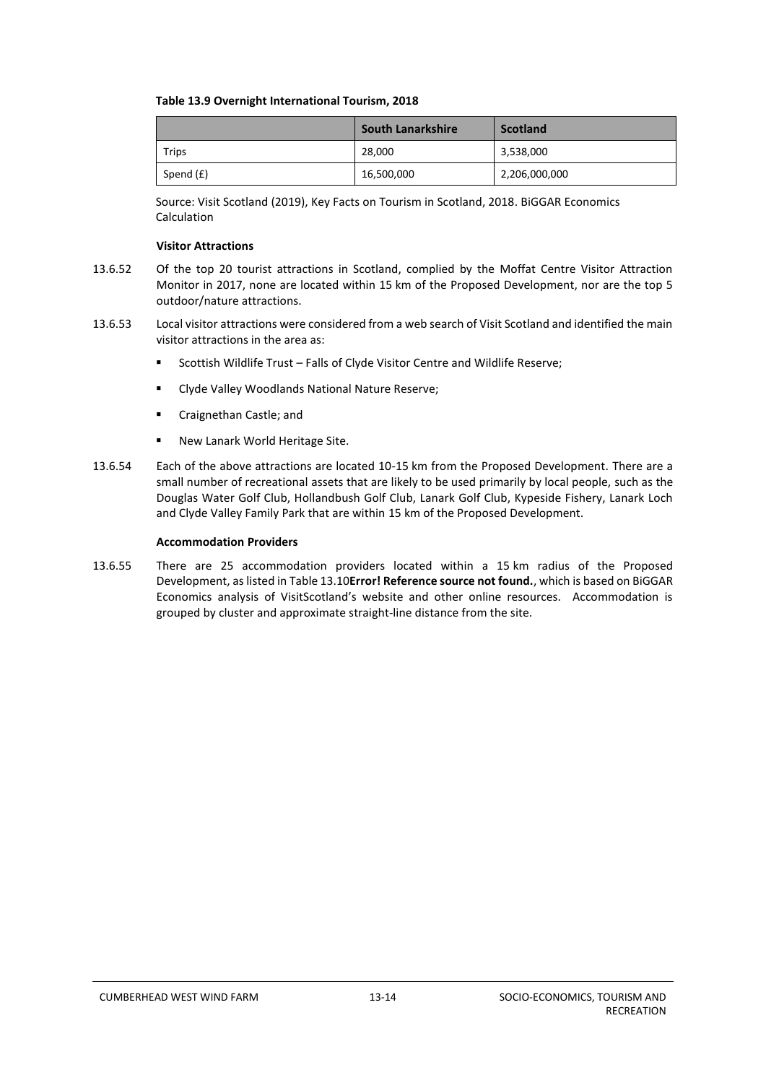#### <span id="page-16-0"></span>**Table 13.9 Overnight International Tourism, 2018**

|           | <b>South Lanarkshire</b> | <b>Scotland</b> |
|-----------|--------------------------|-----------------|
| Trips     | 28,000                   | 3,538,000       |
| Spend (£) | 16,500,000               | 2,206,000,000   |

Source: Visit Scotland (2019), Key Facts on Tourism in Scotland, 2018. BiGGAR Economics Calculation

#### **Visitor Attractions**

- 13.6.52 Of the top 20 tourist attractions in Scotland, complied by the Moffat Centre Visitor Attraction Monitor in 2017, none are located within 15 km of the Proposed Development, nor are the top 5 outdoor/nature attractions.
- 13.6.53 Local visitor attractions were considered from a web search of Visit Scotland and identified the main visitor attractions in the area as:
	- Scottish Wildlife Trust Falls of Clyde Visitor Centre and Wildlife Reserve;
	- Clyde Valley Woodlands National Nature Reserve;
	- Craignethan Castle; and
	- New Lanark World Heritage Site.
- 13.6.54 Each of the above attractions are located 10-15 km from the Proposed Development. There are a small number of recreational assets that are likely to be used primarily by local people, such as the Douglas Water Golf Club, Hollandbush Golf Club, Lanark Golf Club, Kypeside Fishery, Lanark Loch and Clyde Valley Family Park that are within 15 km of the Proposed Development.

#### **Accommodation Providers**

13.6.55 There are 25 accommodation providers located within a 15 km radius of the Proposed Development, as listed i[n Table 13.10](#page-17-0)**Error! Reference source not found.**, which is based on BiGGAR Economics analysis of VisitScotland's website and other online resources. Accommodation is grouped by cluster and approximate straight-line distance from the site.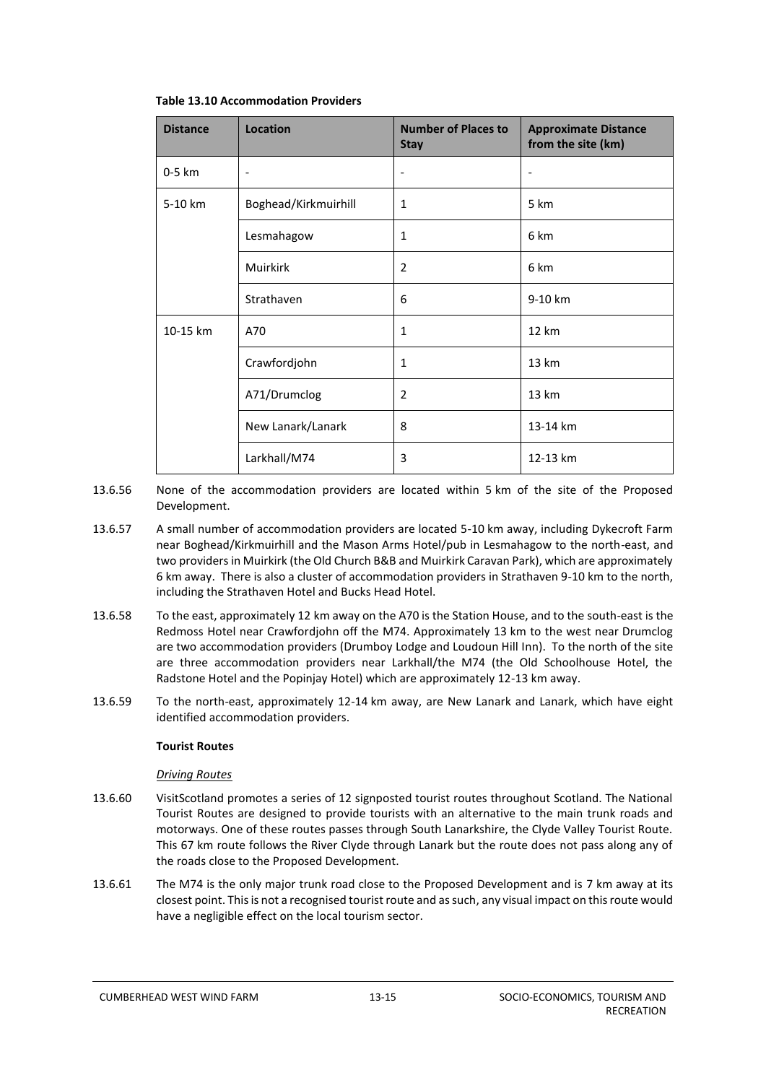<span id="page-17-0"></span>

|  | Table 13.10 Accommodation Providers |  |
|--|-------------------------------------|--|
|--|-------------------------------------|--|

| <b>Distance</b> | <b>Location</b>          | <b>Number of Places to</b><br><b>Stay</b> | <b>Approximate Distance</b><br>from the site (km) |
|-----------------|--------------------------|-------------------------------------------|---------------------------------------------------|
| $0-5$ km        | $\overline{\phantom{a}}$ | $\overline{\phantom{a}}$                  | $\overline{\phantom{a}}$                          |
| 5-10 km         | Boghead/Kirkmuirhill     | $\mathbf{1}$                              | 5 km                                              |
|                 | Lesmahagow               | $\mathbf{1}$                              | 6 km                                              |
|                 | Muirkirk                 | 2                                         | 6 km                                              |
|                 | Strathaven               | 6                                         | 9-10 km                                           |
| 10-15 km        | A70                      | $\mathbf{1}$                              | 12 km                                             |
|                 | Crawfordjohn             | 1                                         | 13 km                                             |
|                 | A71/Drumclog             | 2                                         | 13 km                                             |
|                 | New Lanark/Lanark        | 8                                         | 13-14 km                                          |
|                 | Larkhall/M74             | 3                                         | 12-13 km                                          |

- 13.6.56 None of the accommodation providers are located within 5 km of the site of the Proposed Development.
- 13.6.57 A small number of accommodation providers are located 5-10 km away, including Dykecroft Farm near Boghead/Kirkmuirhill and the Mason Arms Hotel/pub in Lesmahagow to the north-east, and two providers in Muirkirk (the Old Church B&B and Muirkirk Caravan Park), which are approximately 6 km away. There is also a cluster of accommodation providers in Strathaven 9-10 km to the north, including the Strathaven Hotel and Bucks Head Hotel.
- 13.6.58 To the east, approximately 12 km away on the A70 is the Station House, and to the south-east is the Redmoss Hotel near Crawfordjohn off the M74. Approximately 13 km to the west near Drumclog are two accommodation providers (Drumboy Lodge and Loudoun Hill Inn). To the north of the site are three accommodation providers near Larkhall/the M74 (the Old Schoolhouse Hotel, the Radstone Hotel and the Popinjay Hotel) which are approximately 12-13 km away.
- 13.6.59 To the north-east, approximately 12-14 km away, are New Lanark and Lanark, which have eight identified accommodation providers.

# **Tourist Routes**

# *Driving Routes*

- 13.6.60 VisitScotland promotes a series of 12 signposted tourist routes throughout Scotland. The National Tourist Routes are designed to provide tourists with an alternative to the main trunk roads and motorways. One of these routes passes through South Lanarkshire, the Clyde Valley Tourist Route. This 67 km route follows the River Clyde through Lanark but the route does not pass along any of the roads close to the Proposed Development.
- 13.6.61 The M74 is the only major trunk road close to the Proposed Development and is 7 km away at its closest point. This is not a recognised tourist route and as such, any visual impact on this route would have a negligible effect on the local tourism sector.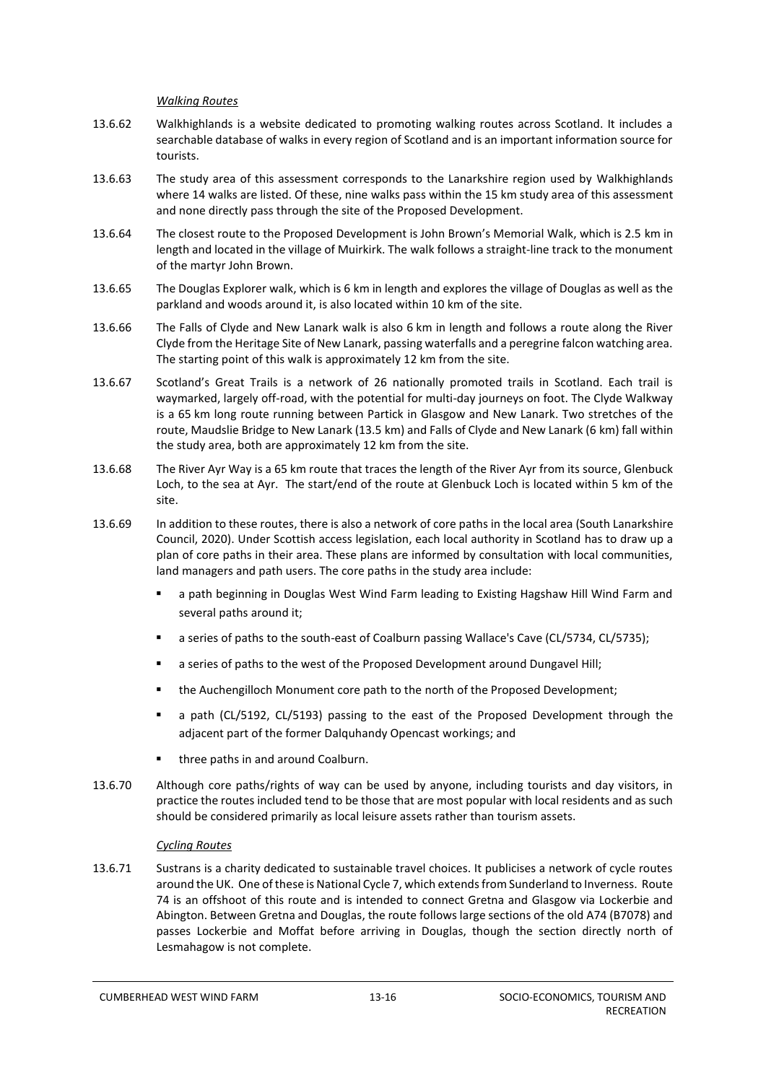#### *Walking Routes*

- 13.6.62 Walkhighlands is a website dedicated to promoting walking routes across Scotland. It includes a searchable database of walks in every region of Scotland and is an important information source for tourists.
- 13.6.63 The study area of this assessment corresponds to the Lanarkshire region used by Walkhighlands where 14 walks are listed. Of these, nine walks pass within the 15 km study area of this assessment and none directly pass through the site of the Proposed Development.
- 13.6.64 The closest route to the Proposed Development is John Brown's Memorial Walk, which is 2.5 km in length and located in the village of Muirkirk. The walk follows a straight-line track to the monument of the martyr John Brown.
- 13.6.65 The Douglas Explorer walk, which is 6 km in length and explores the village of Douglas as well as the parkland and woods around it, is also located within 10 km of the site.
- 13.6.66 The Falls of Clyde and New Lanark walk is also 6 km in length and follows a route along the River Clyde from the Heritage Site of New Lanark, passing waterfalls and a peregrine falcon watching area. The starting point of this walk is approximately 12 km from the site.
- 13.6.67 Scotland's Great Trails is a network of 26 nationally promoted trails in Scotland. Each trail is waymarked, largely off-road, with the potential for multi-day journeys on foot. The Clyde Walkway is a 65 km long route running between Partick in Glasgow and New Lanark. Two stretches of the route, Maudslie Bridge to New Lanark (13.5 km) and Falls of Clyde and New Lanark (6 km) fall within the study area, both are approximately 12 km from the site.
- 13.6.68 The River Ayr Way is a 65 km route that traces the length of the River Ayr from its source, Glenbuck Loch, to the sea at Ayr. The start/end of the route at Glenbuck Loch is located within 5 km of the site.
- 13.6.69 In addition to these routes, there is also a network of core paths in the local area (South Lanarkshire Council, 2020). Under Scottish access legislation, each local authority in Scotland has to draw up a plan of core paths in their area. These plans are informed by consultation with local communities, land managers and path users. The core paths in the study area include:
	- a path beginning in Douglas West Wind Farm leading to Existing Hagshaw Hill Wind Farm and several paths around it;
	- a series of paths to the south-east of Coalburn passing Wallace's Cave (CL/5734, CL/5735);
	- a series of paths to the west of the Proposed Development around Dungavel Hill;
	- the Auchengilloch Monument core path to the north of the Proposed Development;
	- a path (CL/5192, CL/5193) passing to the east of the Proposed Development through the adjacent part of the former Dalquhandy Opencast workings; and
	- three paths in and around Coalburn.
- 13.6.70 Although core paths/rights of way can be used by anyone, including tourists and day visitors, in practice the routes included tend to be those that are most popular with local residents and as such should be considered primarily as local leisure assets rather than tourism assets.

#### *Cycling Routes*

13.6.71 Sustrans is a charity dedicated to sustainable travel choices. It publicises a network of cycle routes around the UK. One of these is National Cycle 7, which extends from Sunderland to Inverness. Route 74 is an offshoot of this route and is intended to connect Gretna and Glasgow via Lockerbie and Abington. Between Gretna and Douglas, the route follows large sections of the old A74 (B7078) and passes Lockerbie and Moffat before arriving in Douglas, though the section directly north of Lesmahagow is not complete.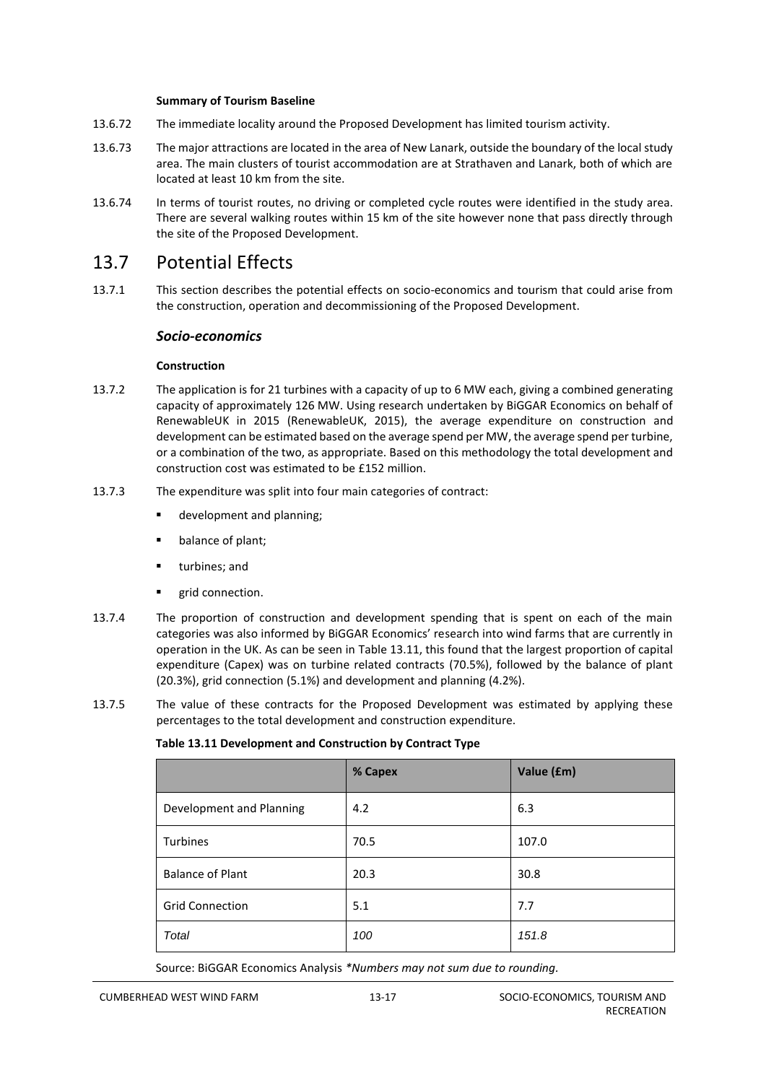#### **Summary of Tourism Baseline**

- 13.6.72 The immediate locality around the Proposed Development has limited tourism activity.
- 13.6.73 The major attractions are located in the area of New Lanark, outside the boundary of the local study area. The main clusters of tourist accommodation are at Strathaven and Lanark, both of which are located at least 10 km from the site.
- 13.6.74 In terms of tourist routes, no driving or completed cycle routes were identified in the study area. There are several walking routes within 15 km of the site however none that pass directly through the site of the Proposed Development.

# <span id="page-19-0"></span>13.7 Potential Effects

13.7.1 This section describes the potential effects on socio-economics and tourism that could arise from the construction, operation and decommissioning of the Proposed Development.

# *Socio-economics*

# **Construction**

- 13.7.2 The application is for 21 turbines with a capacity of up to 6 MW each, giving a combined generating capacity of approximately 126 MW. Using research undertaken by BiGGAR Economics on behalf of RenewableUK in 2015 (RenewableUK, 2015), the average expenditure on construction and development can be estimated based on the average spend per MW, the average spend per turbine, or a combination of the two, as appropriate. Based on this methodology the total development and construction cost was estimated to be £152 million.
- 13.7.3 The expenditure was split into four main categories of contract:
	- development and planning:
	- balance of plant;
	- turbines; and
	- grid connection.
- 13.7.4 The proportion of construction and development spending that is spent on each of the main categories was also informed by BiGGAR Economics' research into wind farms that are currently in operation in the UK. As can be seen i[n Table 13.11,](#page-19-1) this found that the largest proportion of capital expenditure (Capex) was on turbine related contracts (70.5%), followed by the balance of plant (20.3%), grid connection (5.1%) and development and planning (4.2%).
- <span id="page-19-1"></span>13.7.5 The value of these contracts for the Proposed Development was estimated by applying these percentages to the total development and construction expenditure.

| Table 13.11 Development and Construction by Contract Type |  |  |
|-----------------------------------------------------------|--|--|
|                                                           |  |  |

|                          | % Capex | Value (£m) |
|--------------------------|---------|------------|
| Development and Planning | 4.2     | 6.3        |
| Turbines                 | 70.5    | 107.0      |
| <b>Balance of Plant</b>  | 20.3    | 30.8       |
| <b>Grid Connection</b>   | 5.1     | 7.7        |
| Total                    | 100     | 151.8      |

Source: BiGGAR Economics Analysis *\*Numbers may not sum due to rounding.*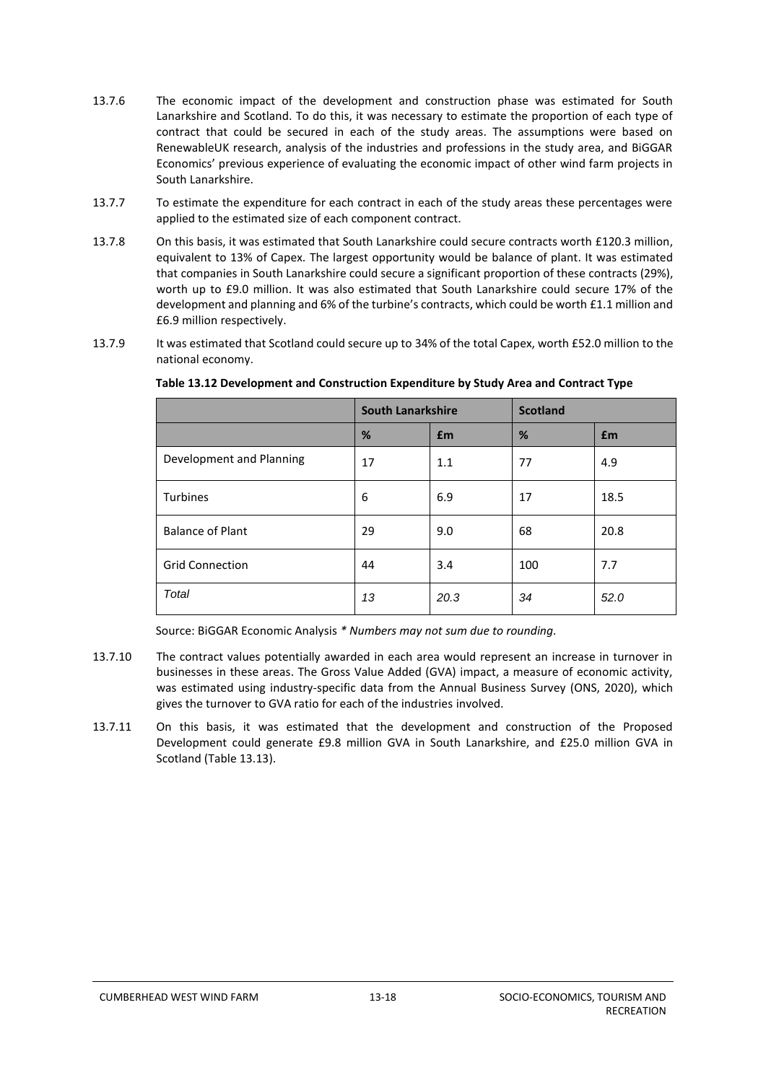- 13.7.6 The economic impact of the development and construction phase was estimated for South Lanarkshire and Scotland. To do this, it was necessary to estimate the proportion of each type of contract that could be secured in each of the study areas. The assumptions were based on RenewableUK research, analysis of the industries and professions in the study area, and BiGGAR Economics' previous experience of evaluating the economic impact of other wind farm projects in South Lanarkshire.
- 13.7.7 To estimate the expenditure for each contract in each of the study areas these percentages were applied to the estimated size of each component contract.
- 13.7.8 On this basis, it was estimated that South Lanarkshire could secure contracts worth £120.3 million, equivalent to 13% of Capex. The largest opportunity would be balance of plant. It was estimated that companies in South Lanarkshire could secure a significant proportion of these contracts (29%), worth up to £9.0 million. It was also estimated that South Lanarkshire could secure 17% of the development and planning and 6% of the turbine's contracts, which could be worth £1.1 million and £6.9 million respectively.
- 13.7.9 It was estimated that Scotland could secure up to 34% of the total Capex, worth £52.0 million to the national economy.

|                          | <b>South Lanarkshire</b> |           | <b>Scotland</b> |      |
|--------------------------|--------------------------|-----------|-----------------|------|
|                          | %                        | <b>£m</b> | %               | £m   |
| Development and Planning | 17                       | 1.1       | 77              | 4.9  |
| Turbines                 | 6                        | 6.9       | 17              | 18.5 |
| <b>Balance of Plant</b>  | 29                       | 9.0       | 68              | 20.8 |
| <b>Grid Connection</b>   | 44                       | 3.4       | 100             | 7.7  |
| Total                    | 13                       | 20.3      | 34              | 52.0 |

**Table 13.12 Development and Construction Expenditure by Study Area and Contract Type**

Source: BiGGAR Economic Analysis *\* Numbers may not sum due to rounding.*

- 13.7.10 The contract values potentially awarded in each area would represent an increase in turnover in businesses in these areas. The Gross Value Added (GVA) impact, a measure of economic activity, was estimated using industry-specific data from the Annual Business Survey (ONS, 2020), which gives the turnover to GVA ratio for each of the industries involved.
- 13.7.11 On this basis, it was estimated that the development and construction of the Proposed Development could generate £9.8 million GVA in South Lanarkshire, and £25.0 million GVA in Scotland [\(Table 13.13\)](#page-21-0).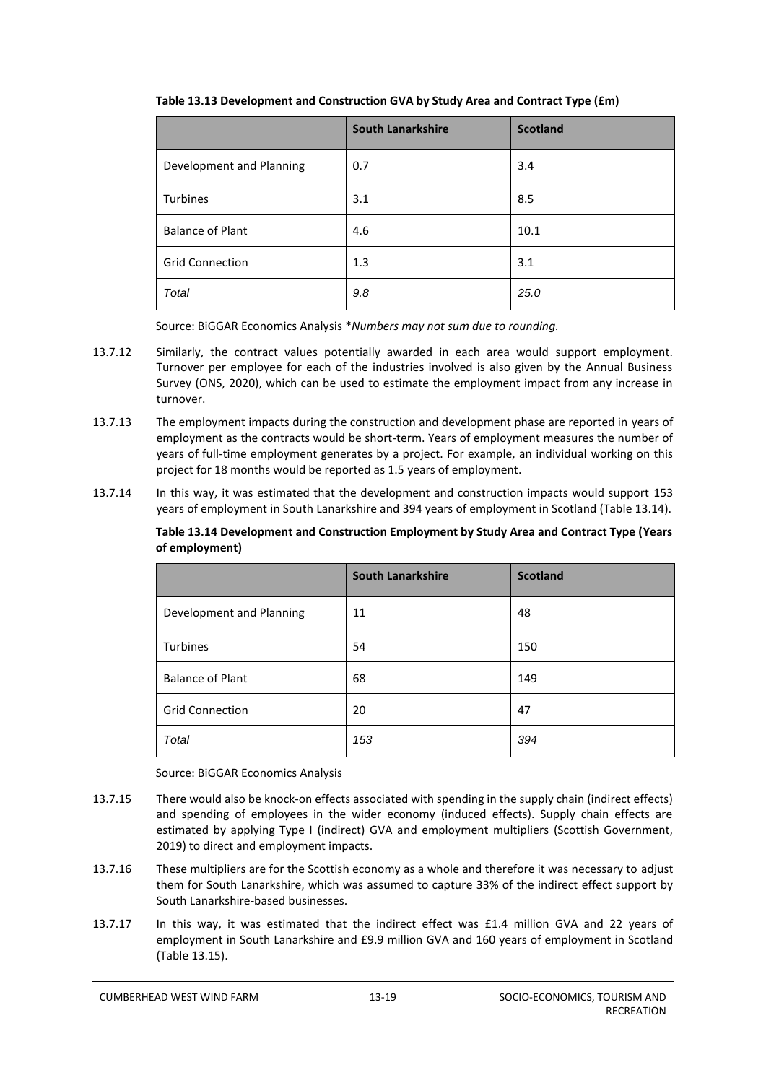<span id="page-21-0"></span>

|  | Table 13.13 Development and Construction GVA by Study Area and Contract Type (£m) |
|--|-----------------------------------------------------------------------------------|
|  |                                                                                   |

|                          | <b>South Lanarkshire</b> | <b>Scotland</b> |
|--------------------------|--------------------------|-----------------|
| Development and Planning | 0.7                      | 3.4             |
| Turbines                 | 3.1                      | 8.5             |
| <b>Balance of Plant</b>  | 4.6                      | 10.1            |
| <b>Grid Connection</b>   | 1.3                      | 3.1             |
| Total                    | 9.8                      | 25.0            |

Source: BiGGAR Economics Analysis \**Numbers may not sum due to rounding.* 

- 13.7.12 Similarly, the contract values potentially awarded in each area would support employment. Turnover per employee for each of the industries involved is also given by the Annual Business Survey (ONS, 2020), which can be used to estimate the employment impact from any increase in turnover.
- 13.7.13 The employment impacts during the construction and development phase are reported in years of employment as the contracts would be short-term. Years of employment measures the number of years of full-time employment generates by a project. For example, an individual working on this project for 18 months would be reported as 1.5 years of employment.
- <span id="page-21-1"></span>13.7.14 In this way, it was estimated that the development and construction impacts would support 153 years of employment in South Lanarkshire and 394 years of employment in Scotland [\(Table 13.14\)](#page-21-1).

| Table 13.14 Development and Construction Employment by Study Area and Contract Type (Years |
|--------------------------------------------------------------------------------------------|
| of employment)                                                                             |

|                          | <b>South Lanarkshire</b> | <b>Scotland</b> |
|--------------------------|--------------------------|-----------------|
| Development and Planning | 11                       | 48              |
| Turbines                 | 54                       | 150             |
| <b>Balance of Plant</b>  | 68                       | 149             |
| <b>Grid Connection</b>   | 20                       | 47              |
| Total                    | 153                      | 394             |

Source: BiGGAR Economics Analysis

- 13.7.15 There would also be knock-on effects associated with spending in the supply chain (indirect effects) and spending of employees in the wider economy (induced effects). Supply chain effects are estimated by applying Type I (indirect) GVA and employment multipliers (Scottish Government, 2019) to direct and employment impacts.
- 13.7.16 These multipliers are for the Scottish economy as a whole and therefore it was necessary to adjust them for South Lanarkshire, which was assumed to capture 33% of the indirect effect support by South Lanarkshire-based businesses.
- 13.7.17 In this way, it was estimated that the indirect effect was £1.4 million GVA and 22 years of employment in South Lanarkshire and £9.9 million GVA and 160 years of employment in Scotland [\(Table 13.15\)](#page-22-0).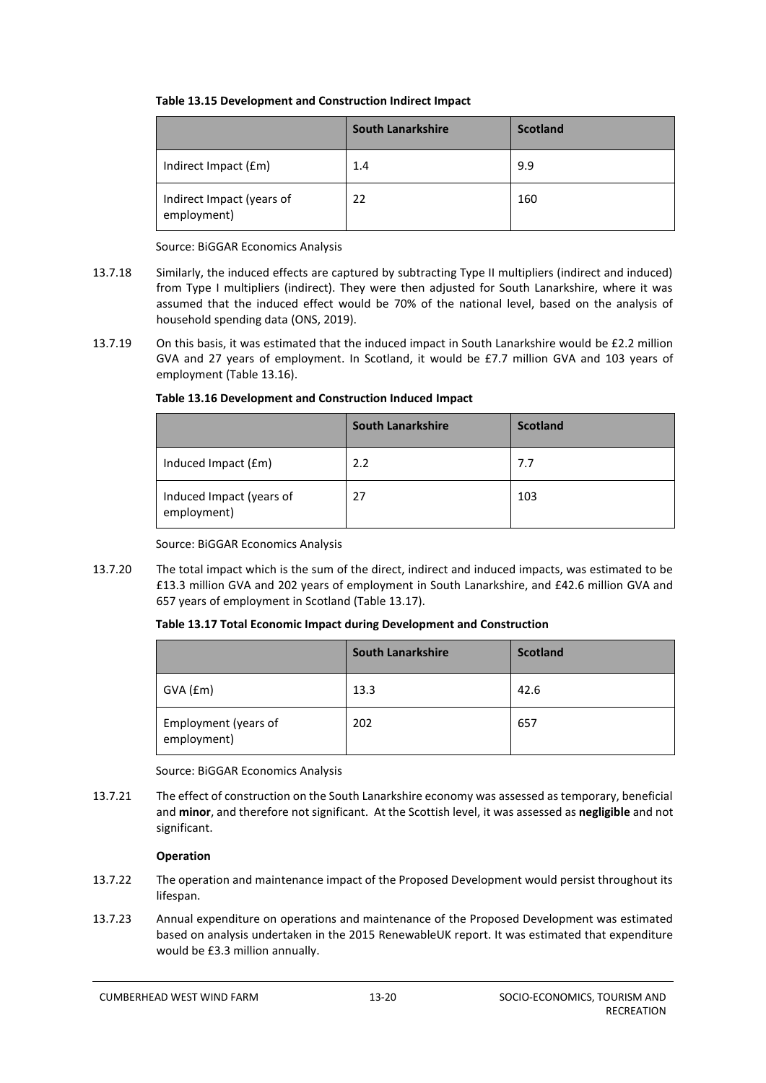# <span id="page-22-0"></span>**Table 13.15 Development and Construction Indirect Impact**

|                                          | <b>South Lanarkshire</b> | <b>Scotland</b> |
|------------------------------------------|--------------------------|-----------------|
| Indirect Impact (£m)                     | 1.4                      | 9.9             |
| Indirect Impact (years of<br>employment) | 22                       | 160             |

Source: BiGGAR Economics Analysis

- 13.7.18 Similarly, the induced effects are captured by subtracting Type II multipliers (indirect and induced) from Type I multipliers (indirect). They were then adjusted for South Lanarkshire, where it was assumed that the induced effect would be 70% of the national level, based on the analysis of household spending data (ONS, 2019).
- <span id="page-22-1"></span>13.7.19 On this basis, it was estimated that the induced impact in South Lanarkshire would be £2.2 million GVA and 27 years of employment. In Scotland, it would be £7.7 million GVA and 103 years of employment [\(Table 13.16\)](#page-22-1).

|                                         | <b>South Lanarkshire</b> | <b>Scotland</b> |
|-----------------------------------------|--------------------------|-----------------|
| Induced Impact (£m)                     | 2.2                      | 7.7             |
| Induced Impact (years of<br>employment) | 27                       | 103             |

#### **Table 13.16 Development and Construction Induced Impact**

Source: BiGGAR Economics Analysis

<span id="page-22-2"></span>13.7.20 The total impact which is the sum of the direct, indirect and induced impacts, was estimated to be £13.3 million GVA and 202 years of employment in South Lanarkshire, and £42.6 million GVA and 657 years of employment in Scotland [\(Table 13.17\)](#page-22-2).

# **Table 13.17 Total Economic Impact during Development and Construction**

|                                     | <b>South Lanarkshire</b> | <b>Scotland</b> |
|-------------------------------------|--------------------------|-----------------|
| GVA (£m)                            | 13.3                     | 42.6            |
| Employment (years of<br>employment) | 202                      | 657             |

Source: BiGGAR Economics Analysis

13.7.21 The effect of construction on the South Lanarkshire economy was assessed as temporary, beneficial and **minor**, and therefore not significant. At the Scottish level, it was assessed as **negligible** and not significant.

# **Operation**

- 13.7.22 The operation and maintenance impact of the Proposed Development would persist throughout its lifespan.
- 13.7.23 Annual expenditure on operations and maintenance of the Proposed Development was estimated based on analysis undertaken in the 2015 RenewableUK report. It was estimated that expenditure would be £3.3 million annually.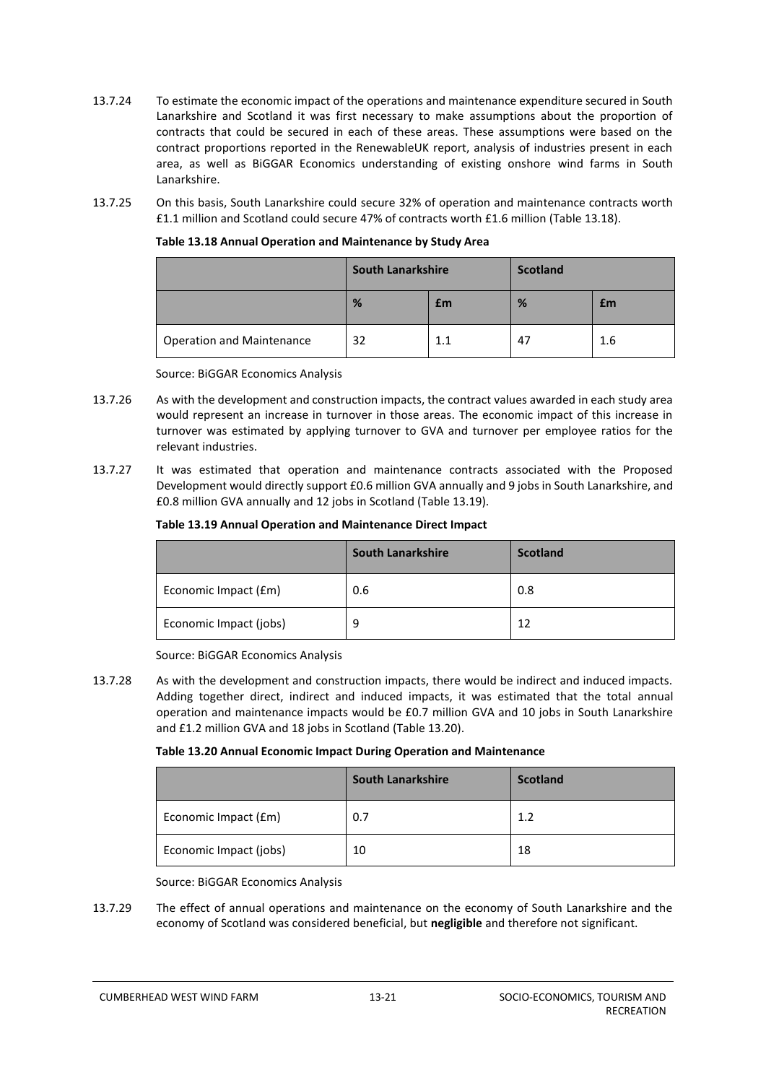- 13.7.24 To estimate the economic impact of the operations and maintenance expenditure secured in South Lanarkshire and Scotland it was first necessary to make assumptions about the proportion of contracts that could be secured in each of these areas. These assumptions were based on the contract proportions reported in the RenewableUK report, analysis of industries present in each area, as well as BiGGAR Economics understanding of existing onshore wind farms in South Lanarkshire.
- <span id="page-23-0"></span>13.7.25 On this basis, South Lanarkshire could secure 32% of operation and maintenance contracts worth £1.1 million and Scotland could secure 47% of contracts worth £1.6 million [\(Table 13.18\)](#page-23-0).

|                           | <b>South Lanarkshire</b> |     | <b>Scotland</b> |     |
|---------------------------|--------------------------|-----|-----------------|-----|
|                           | %                        | £m  | %               | £m  |
| Operation and Maintenance | 32                       | 1.1 | 47              | 1.6 |

#### **Table 13.18 Annual Operation and Maintenance by Study Area**

Source: BiGGAR Economics Analysis

- 13.7.26 As with the development and construction impacts, the contract values awarded in each study area would represent an increase in turnover in those areas. The economic impact of this increase in turnover was estimated by applying turnover to GVA and turnover per employee ratios for the relevant industries.
- <span id="page-23-1"></span>13.7.27 It was estimated that operation and maintenance contracts associated with the Proposed Development would directly support £0.6 million GVA annually and 9 jobs in South Lanarkshire, and £0.8 million GVA annually and 12 jobs in Scotland [\(Table 13.19\)](#page-23-1).

#### **Table 13.19 Annual Operation and Maintenance Direct Impact**

|                        | <b>South Lanarkshire</b> | <b>Scotland</b> |  |
|------------------------|--------------------------|-----------------|--|
| Economic Impact (£m)   | 0.6                      | 0.8             |  |
| Economic Impact (jobs) | 9                        | 12              |  |

Source: BiGGAR Economics Analysis

13.7.28 As with the development and construction impacts, there would be indirect and induced impacts. Adding together direct, indirect and induced impacts, it was estimated that the total annual operation and maintenance impacts would be £0.7 million GVA and 10 jobs in South Lanarkshire and £1.2 million GVA and 18 jobs in Scotland [\(Table 13.20\)](#page-23-2).

#### <span id="page-23-2"></span>**Table 13.20 Annual Economic Impact During Operation and Maintenance**

|                        | <b>South Lanarkshire</b> | <b>Scotland</b> |
|------------------------|--------------------------|-----------------|
| Economic Impact (£m)   | 0.7                      | 1.2             |
| Economic Impact (jobs) | 10                       | 18              |

Source: BiGGAR Economics Analysis

13.7.29 The effect of annual operations and maintenance on the economy of South Lanarkshire and the economy of Scotland was considered beneficial, but **negligible** and therefore not significant.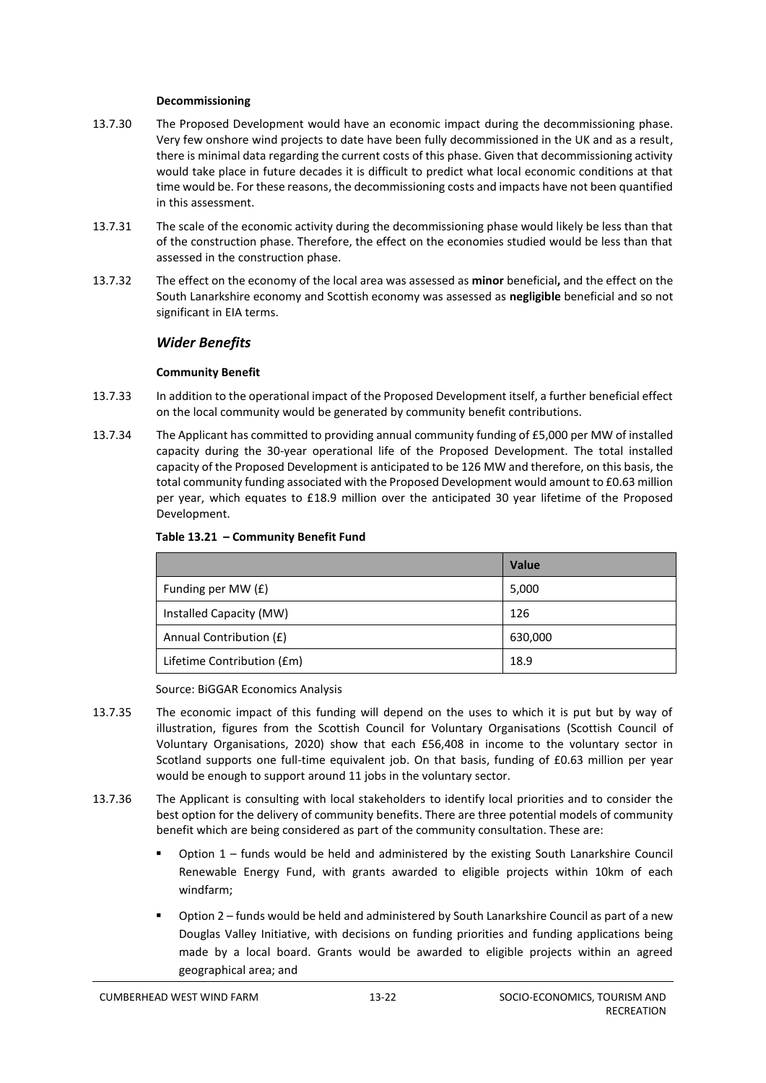### **Decommissioning**

- 13.7.30 The Proposed Development would have an economic impact during the decommissioning phase. Very few onshore wind projects to date have been fully decommissioned in the UK and as a result, there is minimal data regarding the current costs of this phase. Given that decommissioning activity would take place in future decades it is difficult to predict what local economic conditions at that time would be. For these reasons, the decommissioning costs and impacts have not been quantified in this assessment.
- 13.7.31 The scale of the economic activity during the decommissioning phase would likely be less than that of the construction phase. Therefore, the effect on the economies studied would be less than that assessed in the construction phase.
- 13.7.32 The effect on the economy of the local area was assessed as **minor** beneficial**,** and the effect on the South Lanarkshire economy and Scottish economy was assessed as **negligible** beneficial and so not significant in EIA terms.

# *Wider Benefits*

# **Community Benefit**

- 13.7.33 In addition to the operational impact of the Proposed Development itself, a further beneficial effect on the local community would be generated by community benefit contributions.
- 13.7.34 The Applicant has committed to providing annual community funding of £5,000 per MW of installed capacity during the 30-year operational life of the Proposed Development. The total installed capacity of the Proposed Development is anticipated to be 126 MW and therefore, on this basis, the total community funding associated with the Proposed Development would amount to £0.63 million per year, which equates to £18.9 million over the anticipated 30 year lifetime of the Proposed Development.

|                            | <b>Value</b> |
|----------------------------|--------------|
| Funding per MW (£)         | 5,000        |
| Installed Capacity (MW)    | 126          |
| Annual Contribution (£)    | 630,000      |
| Lifetime Contribution (£m) | 18.9         |

### **Table 13.21 – Community Benefit Fund**

Source: BiGGAR Economics Analysis

- 13.7.35 The economic impact of this funding will depend on the uses to which it is put but by way of illustration, figures from the Scottish Council for Voluntary Organisations (Scottish Council of Voluntary Organisations, 2020) show that each £56,408 in income to the voluntary sector in Scotland supports one full-time equivalent job. On that basis, funding of £0.63 million per year would be enough to support around 11 jobs in the voluntary sector.
- 13.7.36 The Applicant is consulting with local stakeholders to identify local priorities and to consider the best option for the delivery of community benefits. There are three potential models of community benefit which are being considered as part of the community consultation. These are:
	- Option 1 funds would be held and administered by the existing South Lanarkshire Council Renewable Energy Fund, with grants awarded to eligible projects within 10km of each windfarm;
	- Option 2 funds would be held and administered by South Lanarkshire Council as part of a new Douglas Valley Initiative, with decisions on funding priorities and funding applications being made by a local board. Grants would be awarded to eligible projects within an agreed geographical area; and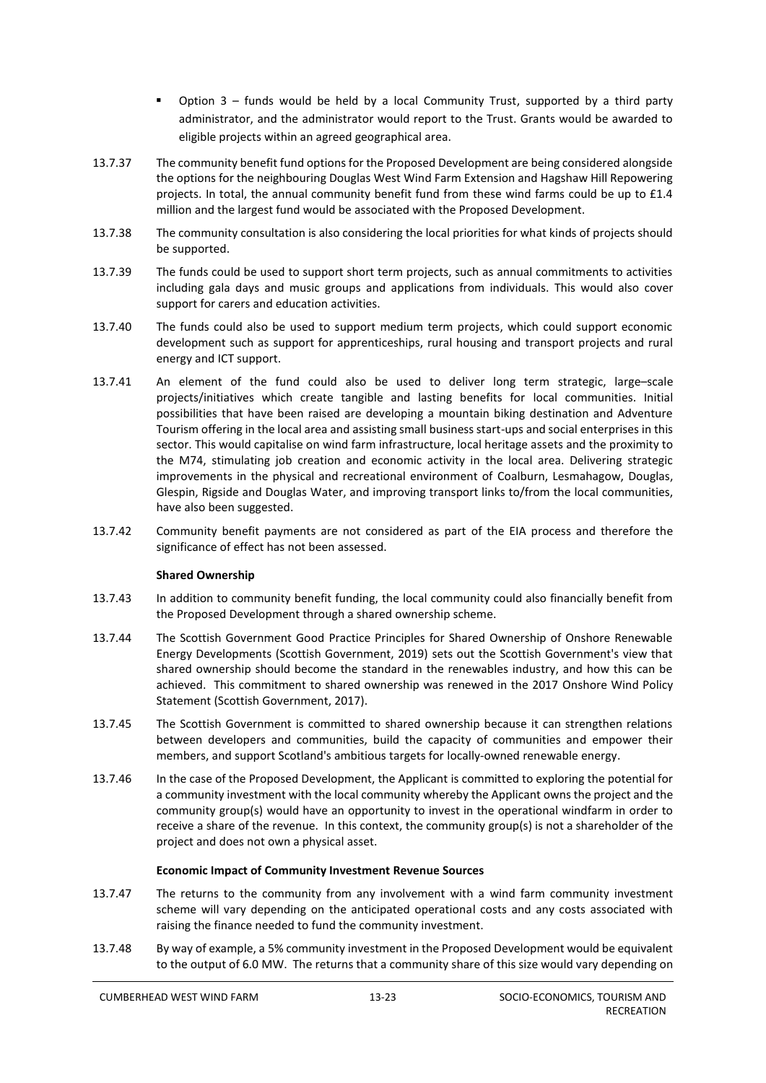- Option 3 funds would be held by a local Community Trust, supported by a third party administrator, and the administrator would report to the Trust. Grants would be awarded to eligible projects within an agreed geographical area.
- 13.7.37 The community benefit fund options for the Proposed Development are being considered alongside the options for the neighbouring Douglas West Wind Farm Extension and Hagshaw Hill Repowering projects. In total, the annual community benefit fund from these wind farms could be up to £1.4 million and the largest fund would be associated with the Proposed Development.
- 13.7.38 The community consultation is also considering the local priorities for what kinds of projects should be supported.
- 13.7.39 The funds could be used to support short term projects, such as annual commitments to activities including gala days and music groups and applications from individuals. This would also cover support for carers and education activities.
- 13.7.40 The funds could also be used to support medium term projects, which could support economic development such as support for apprenticeships, rural housing and transport projects and rural energy and ICT support.
- 13.7.41 An element of the fund could also be used to deliver long term strategic, large–scale projects/initiatives which create tangible and lasting benefits for local communities. Initial possibilities that have been raised are developing a mountain biking destination and Adventure Tourism offering in the local area and assisting small business start-ups and social enterprises in this sector. This would capitalise on wind farm infrastructure, local heritage assets and the proximity to the M74, stimulating job creation and economic activity in the local area. Delivering strategic improvements in the physical and recreational environment of Coalburn, Lesmahagow, Douglas, Glespin, Rigside and Douglas Water, and improving transport links to/from the local communities, have also been suggested.
- 13.7.42 Community benefit payments are not considered as part of the EIA process and therefore the significance of effect has not been assessed.

# **Shared Ownership**

- 13.7.43 In addition to community benefit funding, the local community could also financially benefit from the Proposed Development through a shared ownership scheme.
- 13.7.44 The Scottish Government Good Practice Principles for Shared Ownership of Onshore Renewable Energy Developments (Scottish Government, 2019) sets out the Scottish Government's view that shared ownership should become the standard in the renewables industry, and how this can be achieved. This commitment to shared ownership was renewed in the 2017 Onshore Wind Policy Statement (Scottish Government, 2017).
- 13.7.45 The Scottish Government is committed to shared ownership because it can strengthen relations between developers and communities, build the capacity of communities and empower their members, and support Scotland's ambitious targets for locally-owned renewable energy.
- 13.7.46 In the case of the Proposed Development, the Applicant is committed to exploring the potential for a community investment with the local community whereby the Applicant owns the project and the community group(s) would have an opportunity to invest in the operational windfarm in order to receive a share of the revenue. In this context, the community group(s) is not a shareholder of the project and does not own a physical asset.

#### **Economic Impact of Community Investment Revenue Sources**

- 13.7.47 The returns to the community from any involvement with a wind farm community investment scheme will vary depending on the anticipated operational costs and any costs associated with raising the finance needed to fund the community investment.
- 13.7.48 By way of example, a 5% community investment in the Proposed Development would be equivalent to the output of 6.0 MW. The returns that a community share of this size would vary depending on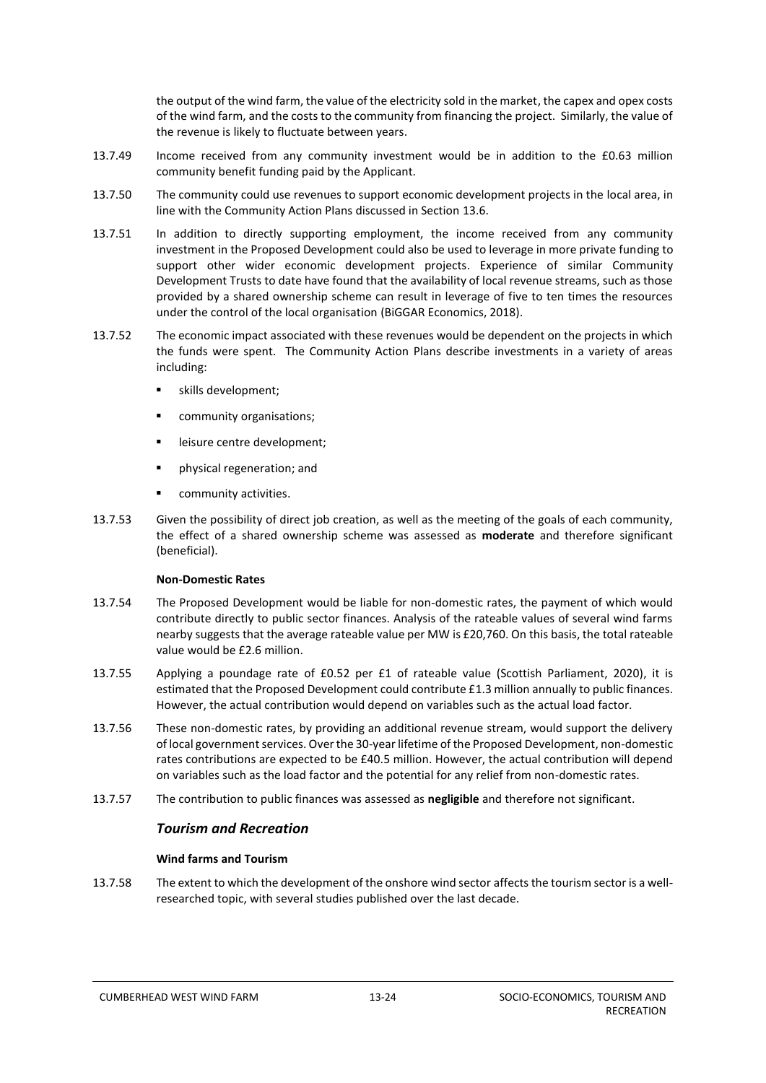the output of the wind farm, the value of the electricity sold in the market, the capex and opex costs of the wind farm, and the costs to the community from financing the project. Similarly, the value of the revenue is likely to fluctuate between years.

- 13.7.49 Income received from any community investment would be in addition to the £0.63 million community benefit funding paid by the Applicant.
- 13.7.50 The community could use revenues to support economic development projects in the local area, in line with the Community Action Plans discussed in Section 13.6.
- 13.7.51 In addition to directly supporting employment, the income received from any community investment in the Proposed Development could also be used to leverage in more private funding to support other wider economic development projects. Experience of similar Community Development Trusts to date have found that the availability of local revenue streams, such as those provided by a shared ownership scheme can result in leverage of five to ten times the resources under the control of the local organisation (BiGGAR Economics, 2018).
- 13.7.52 The economic impact associated with these revenues would be dependent on the projects in which the funds were spent. The Community Action Plans describe investments in a variety of areas including:
	- skills development;
	- community organisations;
	- **·** leisure centre development;
	- physical regeneration; and
	- community activities.
- 13.7.53 Given the possibility of direct job creation, as well as the meeting of the goals of each community, the effect of a shared ownership scheme was assessed as **moderate** and therefore significant (beneficial).

#### **Non-Domestic Rates**

- 13.7.54 The Proposed Development would be liable for non-domestic rates, the payment of which would contribute directly to public sector finances. Analysis of the rateable values of several wind farms nearby suggests that the average rateable value per MW is £20,760. On this basis, the total rateable value would be £2.6 million.
- 13.7.55 Applying a poundage rate of £0.52 per £1 of rateable value (Scottish Parliament, 2020), it is estimated that the Proposed Development could contribute £1.3 million annually to public finances. However, the actual contribution would depend on variables such as the actual load factor.
- 13.7.56 These non-domestic rates, by providing an additional revenue stream, would support the delivery of local government services. Over the 30-yearlifetime of the Proposed Development, non-domestic rates contributions are expected to be £40.5 million. However, the actual contribution will depend on variables such as the load factor and the potential for any relief from non-domestic rates.
- 13.7.57 The contribution to public finances was assessed as **negligible** and therefore not significant.

# *Tourism and Recreation*

#### **Wind farms and Tourism**

13.7.58 The extent to which the development of the onshore wind sector affectsthe tourism sector is a wellresearched topic, with several studies published over the last decade.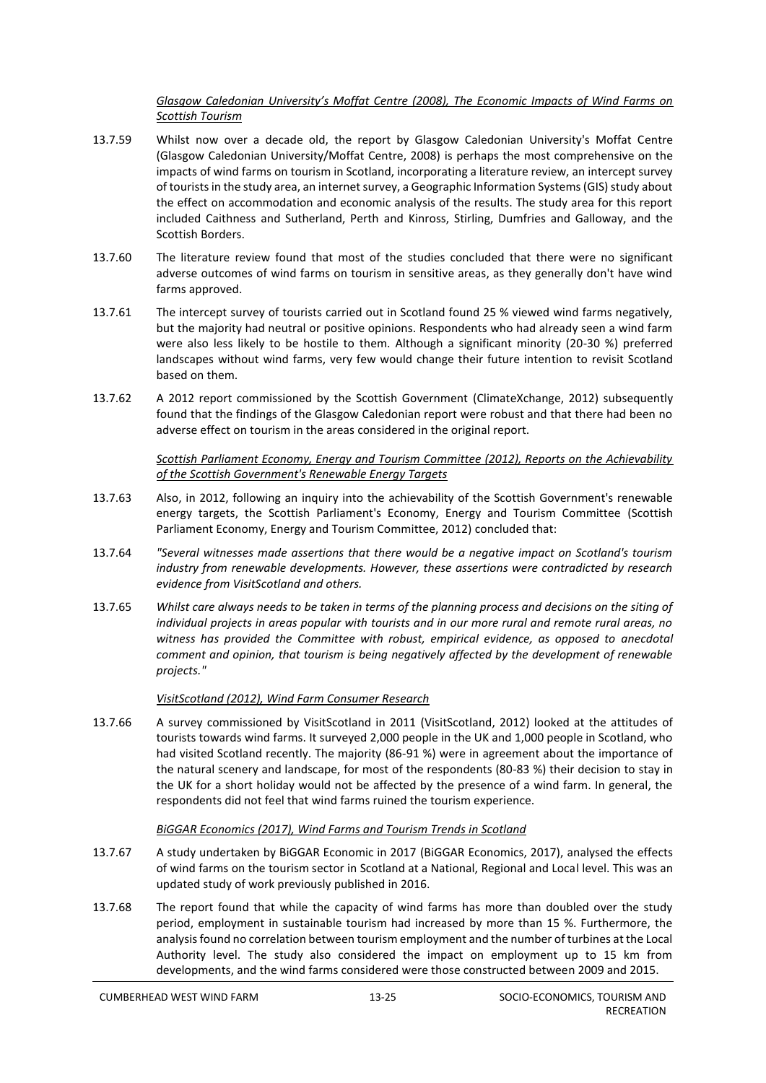*Glasgow Caledonian University's Moffat Centre (2008), The Economic Impacts of Wind Farms on Scottish Tourism* 

- 13.7.59 Whilst now over a decade old, the report by Glasgow Caledonian University's Moffat Centre (Glasgow Caledonian University/Moffat Centre, 2008) is perhaps the most comprehensive on the impacts of wind farms on tourism in Scotland, incorporating a literature review, an intercept survey of tourists in the study area, an internet survey, a Geographic Information Systems (GIS) study about the effect on accommodation and economic analysis of the results. The study area for this report included Caithness and Sutherland, Perth and Kinross, Stirling, Dumfries and Galloway, and the Scottish Borders.
- 13.7.60 The literature review found that most of the studies concluded that there were no significant adverse outcomes of wind farms on tourism in sensitive areas, as they generally don't have wind farms approved.
- 13.7.61 The intercept survey of tourists carried out in Scotland found 25 % viewed wind farms negatively, but the majority had neutral or positive opinions. Respondents who had already seen a wind farm were also less likely to be hostile to them. Although a significant minority (20-30 %) preferred landscapes without wind farms, very few would change their future intention to revisit Scotland based on them.
- 13.7.62 A 2012 report commissioned by the Scottish Government (ClimateXchange, 2012) subsequently found that the findings of the Glasgow Caledonian report were robust and that there had been no adverse effect on tourism in the areas considered in the original report.

*Scottish Parliament Economy, Energy and Tourism Committee (2012), Reports on the Achievability of the Scottish Government's Renewable Energy Targets* 

- 13.7.63 Also, in 2012, following an inquiry into the achievability of the Scottish Government's renewable energy targets, the Scottish Parliament's Economy, Energy and Tourism Committee (Scottish Parliament Economy, Energy and Tourism Committee, 2012) concluded that:
- 13.7.64 *"Several witnesses made assertions that there would be a negative impact on Scotland's tourism industry from renewable developments. However, these assertions were contradicted by research evidence from VisitScotland and others.*
- 13.7.65 *Whilst care always needs to be taken in terms of the planning process and decisions on the siting of individual projects in areas popular with tourists and in our more rural and remote rural areas, no witness has provided the Committee with robust, empirical evidence, as opposed to anecdotal comment and opinion, that tourism is being negatively affected by the development of renewable projects."*

# *VisitScotland (2012), Wind Farm Consumer Research*

13.7.66 A survey commissioned by VisitScotland in 2011 (VisitScotland, 2012) looked at the attitudes of tourists towards wind farms. It surveyed 2,000 people in the UK and 1,000 people in Scotland, who had visited Scotland recently. The majority (86-91 %) were in agreement about the importance of the natural scenery and landscape, for most of the respondents (80-83 %) their decision to stay in the UK for a short holiday would not be affected by the presence of a wind farm. In general, the respondents did not feel that wind farms ruined the tourism experience.

#### *BiGGAR Economics (2017), Wind Farms and Tourism Trends in Scotland*

- 13.7.67 A study undertaken by BiGGAR Economic in 2017 (BiGGAR Economics, 2017), analysed the effects of wind farms on the tourism sector in Scotland at a National, Regional and Local level. This was an updated study of work previously published in 2016.
- 13.7.68 The report found that while the capacity of wind farms has more than doubled over the study period, employment in sustainable tourism had increased by more than 15 %. Furthermore, the analysis found no correlation between tourism employment and the number of turbines at the Local Authority level. The study also considered the impact on employment up to 15 km from developments, and the wind farms considered were those constructed between 2009 and 2015.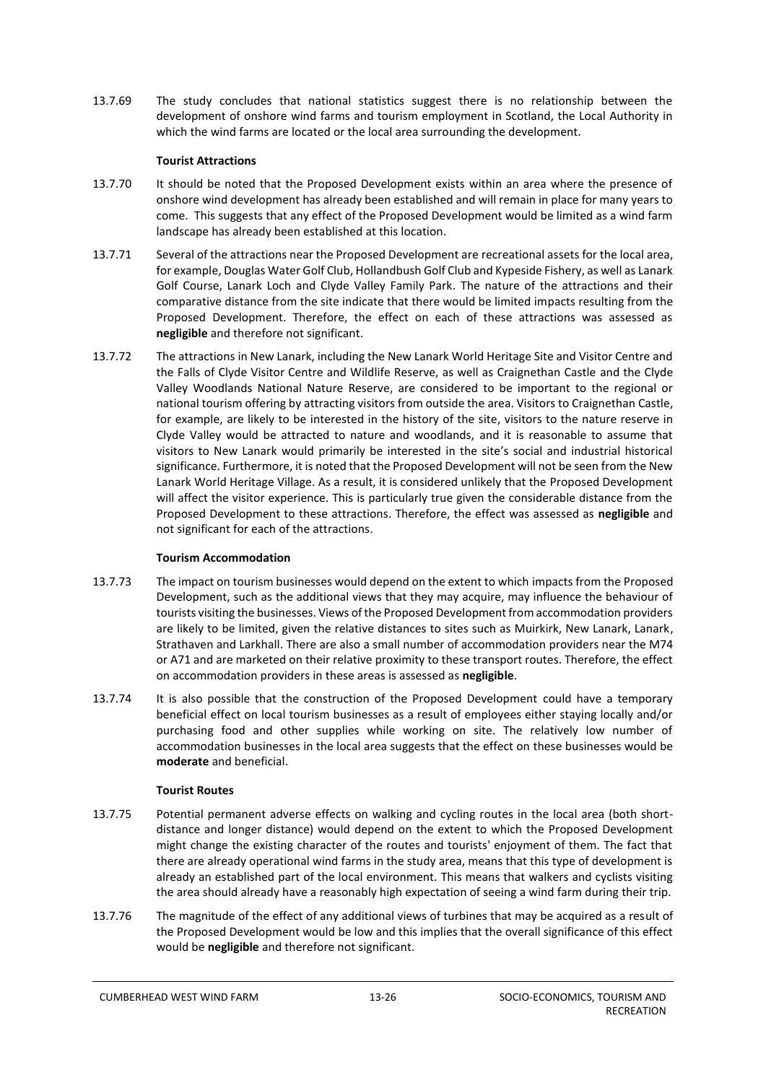13.7.69 The study concludes that national statistics suggest there is no relationship between the development of onshore wind farms and tourism employment in Scotland, the Local Authority in which the wind farms are located or the local area surrounding the development.

# **Tourist Attractions**

- 13.7.70 It should be noted that the Proposed Development exists within an area where the presence of onshore wind development has already been established and will remain in place for many years to come. This suggests that any effect of the Proposed Development would be limited as a wind farm landscape has already been established at this location.
- 13.7.71 Several of the attractions near the Proposed Development are recreational assets for the local area, for example, Douglas Water Golf Club, Hollandbush Golf Club and Kypeside Fishery, as well as Lanark Golf Course, Lanark Loch and Clyde Valley Family Park. The nature of the attractions and their comparative distance from the site indicate that there would be limited impacts resulting from the Proposed Development. Therefore, the effect on each of these attractions was assessed as **negligible** and therefore not significant.
- 13.7.72 The attractions in New Lanark, including the New Lanark World Heritage Site and Visitor Centre and the Falls of Clyde Visitor Centre and Wildlife Reserve, as well as Craignethan Castle and the Clyde Valley Woodlands National Nature Reserve, are considered to be important to the regional or national tourism offering by attracting visitors from outside the area. Visitors to Craignethan Castle, for example, are likely to be interested in the history of the site, visitors to the nature reserve in Clyde Valley would be attracted to nature and woodlands, and it is reasonable to assume that visitors to New Lanark would primarily be interested in the site's social and industrial historical significance. Furthermore, it is noted that the Proposed Development will not be seen from the New Lanark World Heritage Village. As a result, it is considered unlikely that the Proposed Development will affect the visitor experience. This is particularly true given the considerable distance from the Proposed Development to these attractions. Therefore, the effect was assessed as **negligible** and not significant for each of the attractions.

# **Tourism Accommodation**

- 13.7.73 The impact on tourism businesses would depend on the extent to which impacts from the Proposed Development, such as the additional views that they may acquire, may influence the behaviour of tourists visiting the businesses. Views of the Proposed Development from accommodation providers are likely to be limited, given the relative distances to sites such as Muirkirk, New Lanark, Lanark, Strathaven and Larkhall. There are also a small number of accommodation providers near the M74 or A71 and are marketed on their relative proximity to these transport routes. Therefore, the effect on accommodation providers in these areas is assessed as **negligible**.
- 13.7.74 It is also possible that the construction of the Proposed Development could have a temporary beneficial effect on local tourism businesses as a result of employees either staying locally and/or purchasing food and other supplies while working on site. The relatively low number of accommodation businesses in the local area suggests that the effect on these businesses would be **moderate** and beneficial.

# **Tourist Routes**

- 13.7.75 Potential permanent adverse effects on walking and cycling routes in the local area (both shortdistance and longer distance) would depend on the extent to which the Proposed Development might change the existing character of the routes and tourists' enjoyment of them. The fact that there are already operational wind farms in the study area, means that this type of development is already an established part of the local environment. This means that walkers and cyclists visiting the area should already have a reasonably high expectation of seeing a wind farm during their trip.
- 13.7.76 The magnitude of the effect of any additional views of turbines that may be acquired as a result of the Proposed Development would be low and this implies that the overall significance of this effect would be **negligible** and therefore not significant.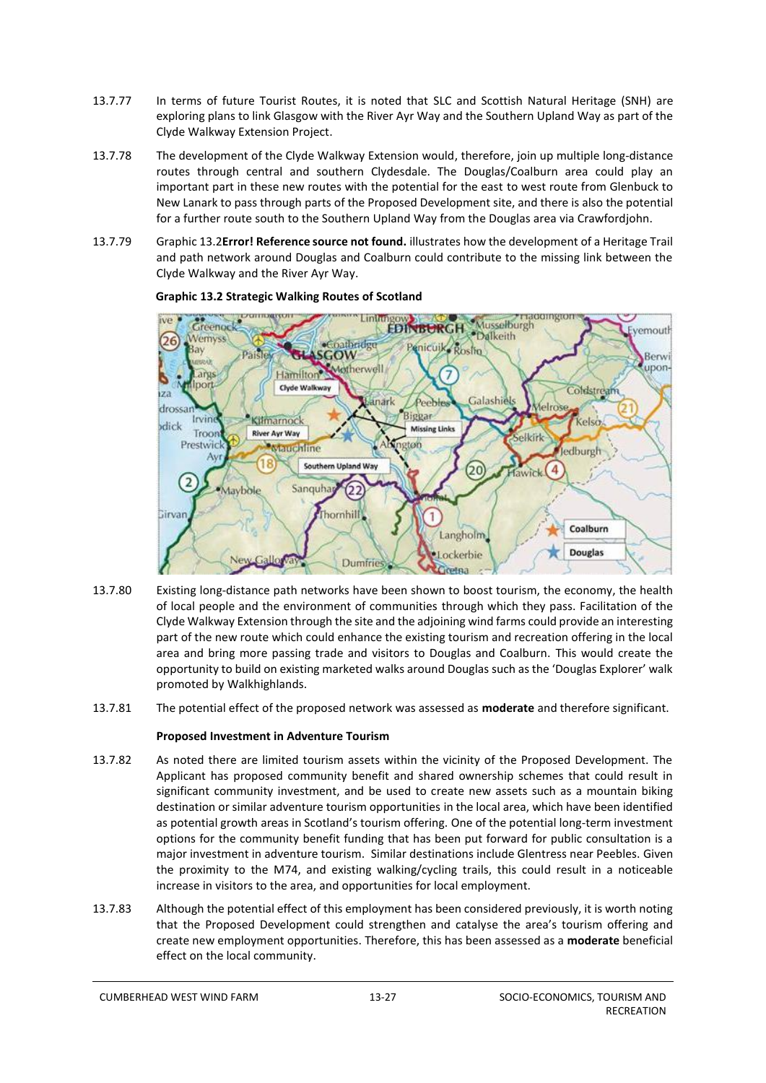- 13.7.77 In terms of future Tourist Routes, it is noted that SLC and Scottish Natural Heritage (SNH) are exploring plans to link Glasgow with the River Ayr Way and the Southern Upland Way as part of the Clyde Walkway Extension Project.
- 13.7.78 The development of the Clyde Walkway Extension would, therefore, join up multiple long-distance routes through central and southern Clydesdale. The Douglas/Coalburn area could play an important part in these new routes with the potential for the east to west route from Glenbuck to New Lanark to pass through parts of the Proposed Development site, and there is also the potential for a further route south to the Southern Upland Way from the Douglas area via Crawfordjohn.
- 13.7.79 Graphic 13.2**Error! Reference source not found.** illustrates how the development of a Heritage Trail and path network around Douglas and Coalburn could contribute to the missing link between the Clyde Walkway and the River Ayr Way.



#### **Graphic 13.2 Strategic Walking Routes of Scotland**

- 13.7.80 Existing long-distance path networks have been shown to boost tourism, the economy, the health of local people and the environment of communities through which they pass. Facilitation of the Clyde Walkway Extension through the site and the adjoining wind farms could provide an interesting part of the new route which could enhance the existing tourism and recreation offering in the local area and bring more passing trade and visitors to Douglas and Coalburn. This would create the opportunity to build on existing marketed walks around Douglas such as the 'Douglas Explorer' walk promoted by Walkhighlands.
- 13.7.81 The potential effect of the proposed network was assessed as **moderate** and therefore significant.

# **Proposed Investment in Adventure Tourism**

- 13.7.82 As noted there are limited tourism assets within the vicinity of the Proposed Development. The Applicant has proposed community benefit and shared ownership schemes that could result in significant community investment, and be used to create new assets such as a mountain biking destination or similar adventure tourism opportunities in the local area, which have been identified as potential growth areas in Scotland's tourism offering. One of the potential long-term investment options for the community benefit funding that has been put forward for public consultation is a major investment in adventure tourism. Similar destinations include Glentress near Peebles. Given the proximity to the M74, and existing walking/cycling trails, this could result in a noticeable increase in visitors to the area, and opportunities for local employment.
- 13.7.83 Although the potential effect of this employment has been considered previously, it is worth noting that the Proposed Development could strengthen and catalyse the area's tourism offering and create new employment opportunities. Therefore, this has been assessed as a **moderate** beneficial effect on the local community.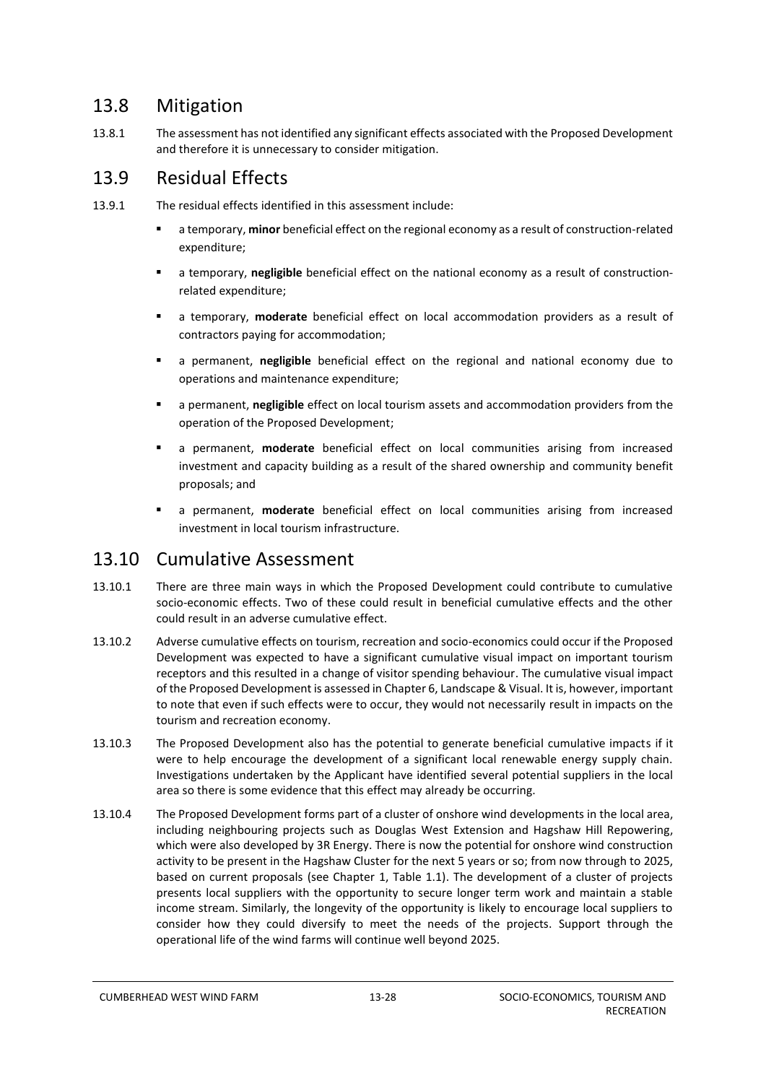# <span id="page-30-0"></span>13.8 Mitigation

13.8.1 The assessment has not identified any significant effects associated with the Proposed Development and therefore it is unnecessary to consider mitigation.

# <span id="page-30-1"></span>13.9 Residual Effects

- 13.9.1 The residual effects identified in this assessment include:
	- a temporary, **minor** beneficial effect on the regional economy as a result of construction-related expenditure;
	- **EXECT** a temporary, **negligible** beneficial effect on the national economy as a result of constructionrelated expenditure;
	- a temporary, **moderate** beneficial effect on local accommodation providers as a result of contractors paying for accommodation;
	- a permanent, **negligible** beneficial effect on the regional and national economy due to operations and maintenance expenditure;
	- a permanent, **negligible** effect on local tourism assets and accommodation providers from the operation of the Proposed Development;
	- a permanent, **moderate** beneficial effect on local communities arising from increased investment and capacity building as a result of the shared ownership and community benefit proposals; and
	- a permanent, **moderate** beneficial effect on local communities arising from increased investment in local tourism infrastructure.

# <span id="page-30-2"></span>13.10 Cumulative Assessment

- 13.10.1 There are three main ways in which the Proposed Development could contribute to cumulative socio-economic effects. Two of these could result in beneficial cumulative effects and the other could result in an adverse cumulative effect.
- 13.10.2 Adverse cumulative effects on tourism, recreation and socio-economics could occur if the Proposed Development was expected to have a significant cumulative visual impact on important tourism receptors and this resulted in a change of visitor spending behaviour. The cumulative visual impact of the Proposed Development is assessed in Chapter 6, Landscape & Visual. It is, however, important to note that even if such effects were to occur, they would not necessarily result in impacts on the tourism and recreation economy.
- 13.10.3 The Proposed Development also has the potential to generate beneficial cumulative impacts if it were to help encourage the development of a significant local renewable energy supply chain. Investigations undertaken by the Applicant have identified several potential suppliers in the local area so there is some evidence that this effect may already be occurring.
- 13.10.4 The Proposed Development forms part of a cluster of onshore wind developments in the local area, including neighbouring projects such as Douglas West Extension and Hagshaw Hill Repowering, which were also developed by 3R Energy. There is now the potential for onshore wind construction activity to be present in the Hagshaw Cluster for the next 5 years or so; from now through to 2025, based on current proposals (see Chapter 1, Table 1.1). The development of a cluster of projects presents local suppliers with the opportunity to secure longer term work and maintain a stable income stream. Similarly, the longevity of the opportunity is likely to encourage local suppliers to consider how they could diversify to meet the needs of the projects. Support through the operational life of the wind farms will continue well beyond 2025.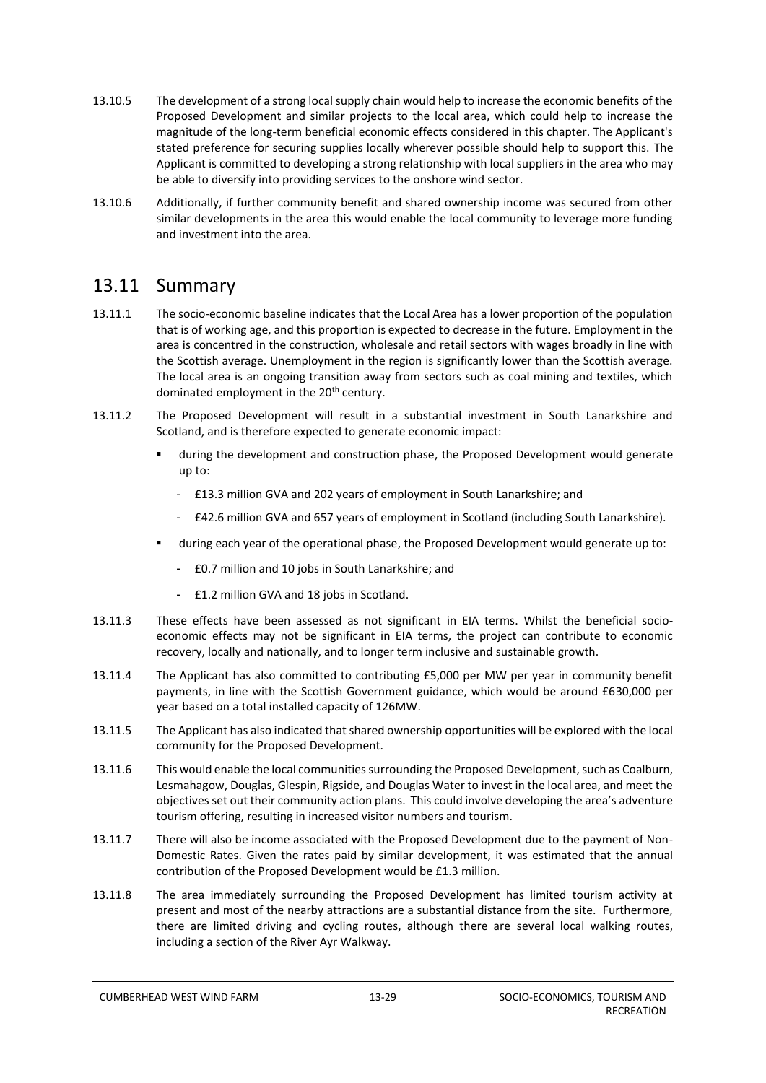- 13.10.5 The development of a strong local supply chain would help to increase the economic benefits of the Proposed Development and similar projects to the local area, which could help to increase the magnitude of the long-term beneficial economic effects considered in this chapter. The Applicant's stated preference for securing supplies locally wherever possible should help to support this. The Applicant is committed to developing a strong relationship with local suppliers in the area who may be able to diversify into providing services to the onshore wind sector.
- 13.10.6 Additionally, if further community benefit and shared ownership income was secured from other similar developments in the area this would enable the local community to leverage more funding and investment into the area.

# <span id="page-31-0"></span>13.11 Summary

- 13.11.1 The socio-economic baseline indicates that the Local Area has a lower proportion of the population that is of working age, and this proportion is expected to decrease in the future. Employment in the area is concentred in the construction, wholesale and retail sectors with wages broadly in line with the Scottish average. Unemployment in the region is significantly lower than the Scottish average. The local area is an ongoing transition away from sectors such as coal mining and textiles, which dominated employment in the  $20<sup>th</sup>$  century.
- 13.11.2 The Proposed Development will result in a substantial investment in South Lanarkshire and Scotland, and is therefore expected to generate economic impact:
	- during the development and construction phase, the Proposed Development would generate up to:
		- £13.3 million GVA and 202 years of employment in South Lanarkshire; and
		- £42.6 million GVA and 657 years of employment in Scotland (including South Lanarkshire).
	- during each year of the operational phase, the Proposed Development would generate up to:
		- £0.7 million and 10 jobs in South Lanarkshire; and
		- £1.2 million GVA and 18 jobs in Scotland.
- 13.11.3 These effects have been assessed as not significant in EIA terms. Whilst the beneficial socioeconomic effects may not be significant in EIA terms, the project can contribute to economic recovery, locally and nationally, and to longer term inclusive and sustainable growth.
- 13.11.4 The Applicant has also committed to contributing £5,000 per MW per year in community benefit payments, in line with the Scottish Government guidance, which would be around £630,000 per year based on a total installed capacity of 126MW.
- 13.11.5 The Applicant has also indicated that shared ownership opportunities will be explored with the local community for the Proposed Development.
- 13.11.6 This would enable the local communities surrounding the Proposed Development, such as Coalburn, Lesmahagow, Douglas, Glespin, Rigside, and Douglas Water to invest in the local area, and meet the objectives set out their community action plans. This could involve developing the area's adventure tourism offering, resulting in increased visitor numbers and tourism.
- 13.11.7 There will also be income associated with the Proposed Development due to the payment of Non-Domestic Rates. Given the rates paid by similar development, it was estimated that the annual contribution of the Proposed Development would be £1.3 million.
- 13.11.8 The area immediately surrounding the Proposed Development has limited tourism activity at present and most of the nearby attractions are a substantial distance from the site. Furthermore, there are limited driving and cycling routes, although there are several local walking routes, including a section of the River Ayr Walkway.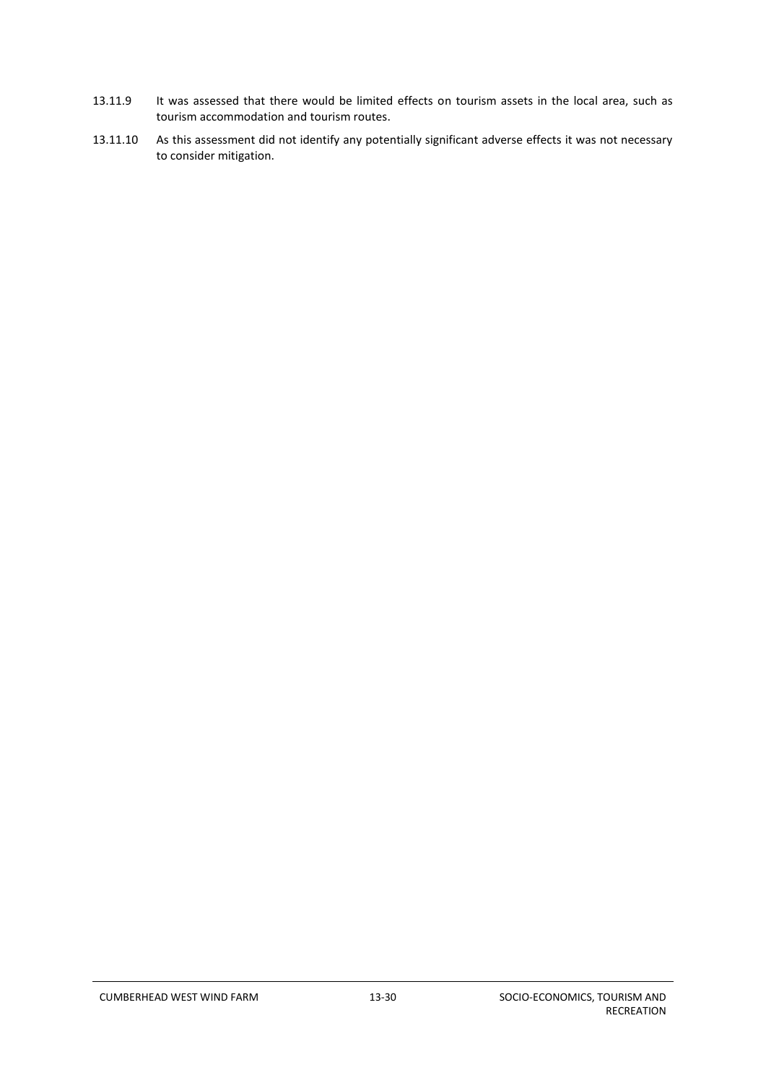- 13.11.9 It was assessed that there would be limited effects on tourism assets in the local area, such as tourism accommodation and tourism routes.
- 13.11.10 As this assessment did not identify any potentially significant adverse effects it was not necessary to consider mitigation.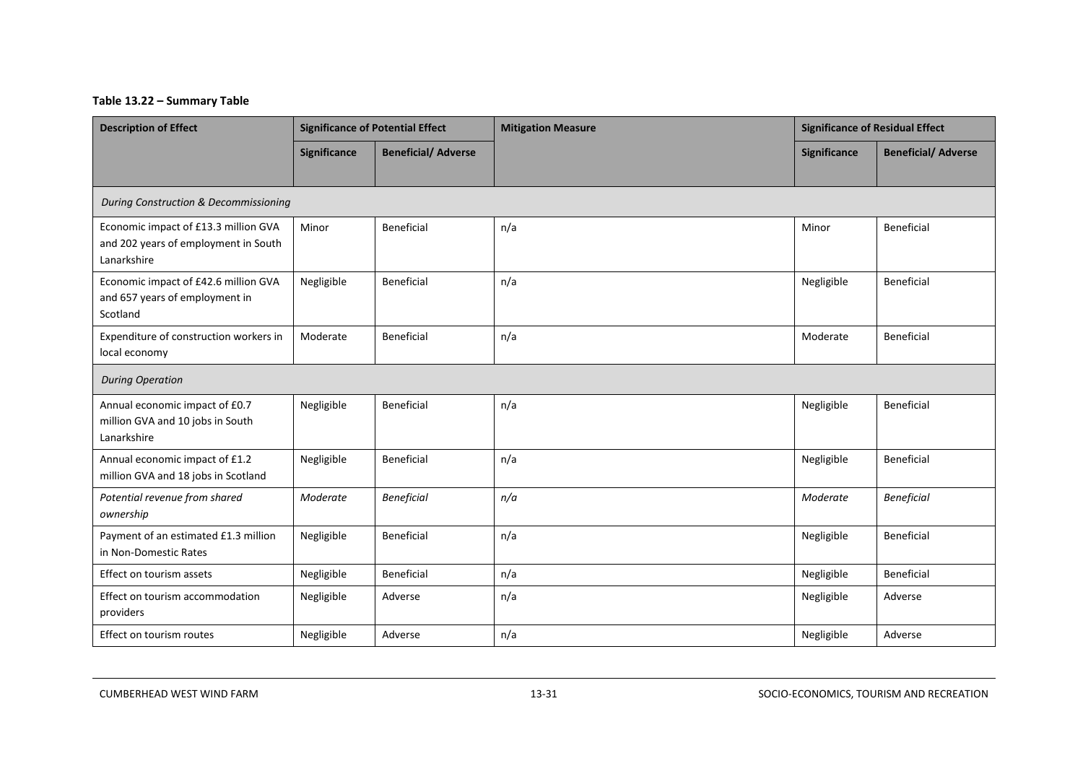### **Table 13.22 – Summary Table**

| <b>Description of Effect</b>                                                                | <b>Significance of Potential Effect</b> |                            | <b>Mitigation Measure</b> | <b>Significance of Residual Effect</b> |                            |  |
|---------------------------------------------------------------------------------------------|-----------------------------------------|----------------------------|---------------------------|----------------------------------------|----------------------------|--|
|                                                                                             | Significance                            | <b>Beneficial/ Adverse</b> |                           | Significance                           | <b>Beneficial/ Adverse</b> |  |
|                                                                                             |                                         |                            |                           |                                        |                            |  |
|                                                                                             | During Construction & Decommissioning   |                            |                           |                                        |                            |  |
| Economic impact of £13.3 million GVA<br>and 202 years of employment in South<br>Lanarkshire | Minor                                   | Beneficial                 | n/a                       | Minor                                  | <b>Beneficial</b>          |  |
| Economic impact of £42.6 million GVA<br>and 657 years of employment in<br>Scotland          | Negligible                              | Beneficial                 | n/a                       | Negligible                             | <b>Beneficial</b>          |  |
| Expenditure of construction workers in<br>local economy                                     | Moderate                                | Beneficial                 | n/a                       | Moderate                               | <b>Beneficial</b>          |  |
| <b>During Operation</b>                                                                     |                                         |                            |                           |                                        |                            |  |
| Annual economic impact of £0.7<br>million GVA and 10 jobs in South<br>Lanarkshire           | Negligible                              | Beneficial                 | n/a                       | Negligible                             | <b>Beneficial</b>          |  |
| Annual economic impact of £1.2<br>million GVA and 18 jobs in Scotland                       | Negligible                              | Beneficial                 | n/a                       | Negligible                             | Beneficial                 |  |
| Potential revenue from shared<br>ownership                                                  | Moderate                                | <b>Beneficial</b>          | n/a                       | Moderate                               | <b>Beneficial</b>          |  |
| Payment of an estimated £1.3 million<br>in Non-Domestic Rates                               | Negligible                              | Beneficial                 | n/a                       | Negligible                             | <b>Beneficial</b>          |  |
| Effect on tourism assets                                                                    | Negligible                              | Beneficial                 | n/a                       | Negligible                             | Beneficial                 |  |
| Effect on tourism accommodation<br>providers                                                | Negligible                              | Adverse                    | n/a                       | Negligible                             | Adverse                    |  |
| Effect on tourism routes                                                                    | Negligible                              | Adverse                    | n/a                       | Negligible                             | Adverse                    |  |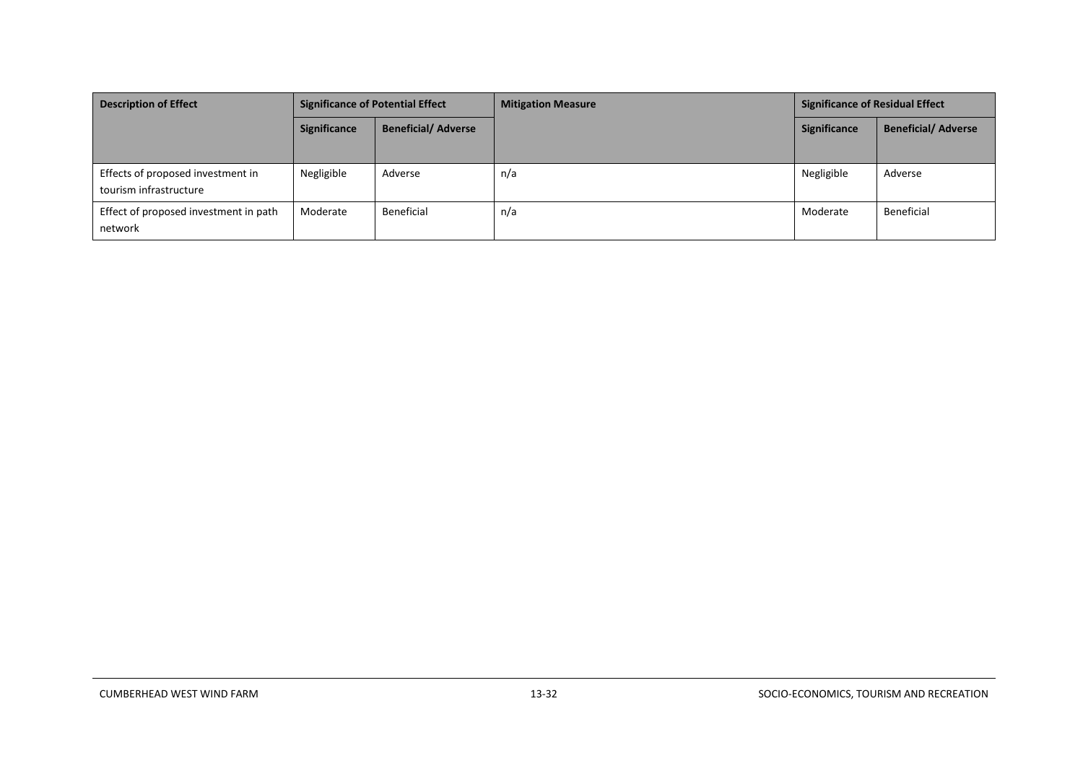| <b>Description of Effect</b>                                | <b>Significance of Potential Effect</b> |                           | <b>Mitigation Measure</b> | <b>Significance of Residual Effect</b> |                            |
|-------------------------------------------------------------|-----------------------------------------|---------------------------|---------------------------|----------------------------------------|----------------------------|
|                                                             | <b>Significance</b>                     | <b>Beneficial/Adverse</b> |                           | Significance                           | <b>Beneficial/ Adverse</b> |
| Effects of proposed investment in<br>tourism infrastructure | Negligible                              | Adverse                   | n/a                       | Negligible                             | Adverse                    |
| Effect of proposed investment in path<br>network            | Moderate                                | Beneficial                | n/a                       | Moderate                               | Beneficial                 |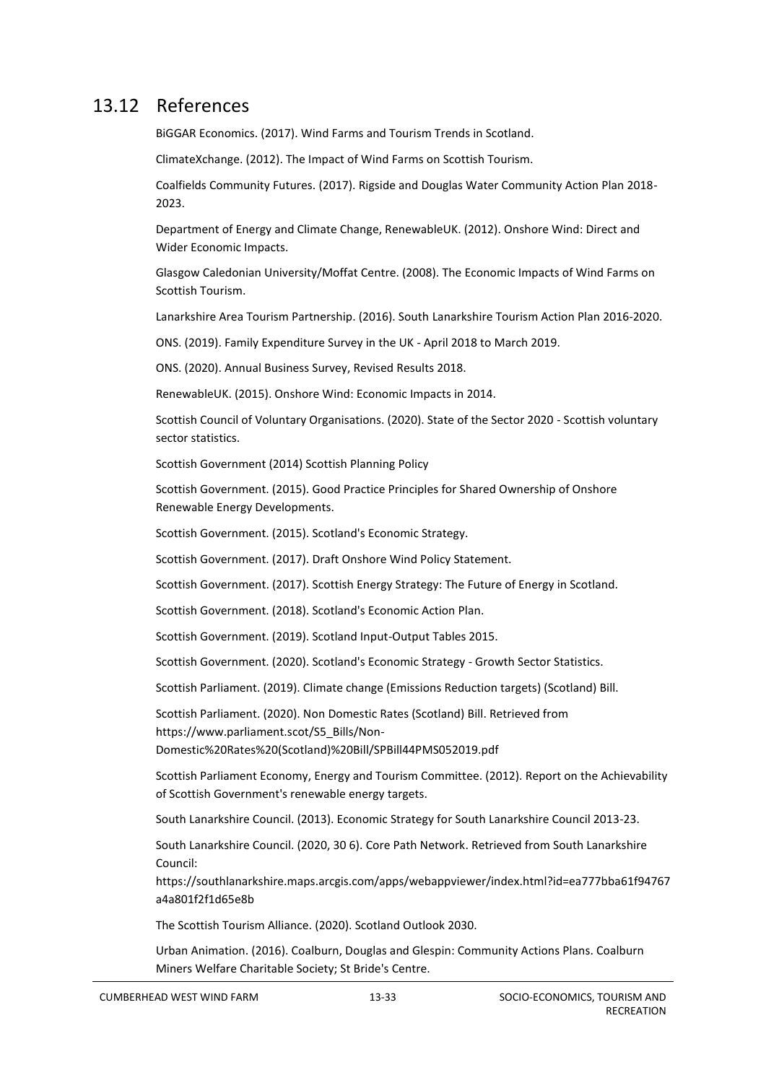# <span id="page-35-0"></span>13.12 References

BiGGAR Economics. (2017). Wind Farms and Tourism Trends in Scotland.

ClimateXchange. (2012). The Impact of Wind Farms on Scottish Tourism.

Coalfields Community Futures. (2017). Rigside and Douglas Water Community Action Plan 2018- 2023.

Department of Energy and Climate Change, RenewableUK. (2012). Onshore Wind: Direct and Wider Economic Impacts.

Glasgow Caledonian University/Moffat Centre. (2008). The Economic Impacts of Wind Farms on Scottish Tourism.

Lanarkshire Area Tourism Partnership. (2016). South Lanarkshire Tourism Action Plan 2016-2020.

ONS. (2019). Family Expenditure Survey in the UK - April 2018 to March 2019.

ONS. (2020). Annual Business Survey, Revised Results 2018.

RenewableUK. (2015). Onshore Wind: Economic Impacts in 2014.

Scottish Council of Voluntary Organisations. (2020). State of the Sector 2020 - Scottish voluntary sector statistics.

Scottish Government (2014) Scottish Planning Policy

Scottish Government. (2015). Good Practice Principles for Shared Ownership of Onshore Renewable Energy Developments.

Scottish Government. (2015). Scotland's Economic Strategy.

Scottish Government. (2017). Draft Onshore Wind Policy Statement.

Scottish Government. (2017). Scottish Energy Strategy: The Future of Energy in Scotland.

Scottish Government. (2018). Scotland's Economic Action Plan.

Scottish Government. (2019). Scotland Input-Output Tables 2015.

Scottish Government. (2020). Scotland's Economic Strategy - Growth Sector Statistics.

Scottish Parliament. (2019). Climate change (Emissions Reduction targets) (Scotland) Bill.

Scottish Parliament. (2020). Non Domestic Rates (Scotland) Bill. Retrieved from https://www.parliament.scot/S5\_Bills/Non-

Domestic%20Rates%20(Scotland)%20Bill/SPBill44PMS052019.pdf

Scottish Parliament Economy, Energy and Tourism Committee. (2012). Report on the Achievability of Scottish Government's renewable energy targets.

South Lanarkshire Council. (2013). Economic Strategy for South Lanarkshire Council 2013-23.

South Lanarkshire Council. (2020, 30 6). Core Path Network. Retrieved from South Lanarkshire Council:

https://southlanarkshire.maps.arcgis.com/apps/webappviewer/index.html?id=ea777bba61f94767 a4a801f2f1d65e8b

The Scottish Tourism Alliance. (2020). Scotland Outlook 2030.

Urban Animation. (2016). Coalburn, Douglas and Glespin: Community Actions Plans. Coalburn Miners Welfare Charitable Society; St Bride's Centre.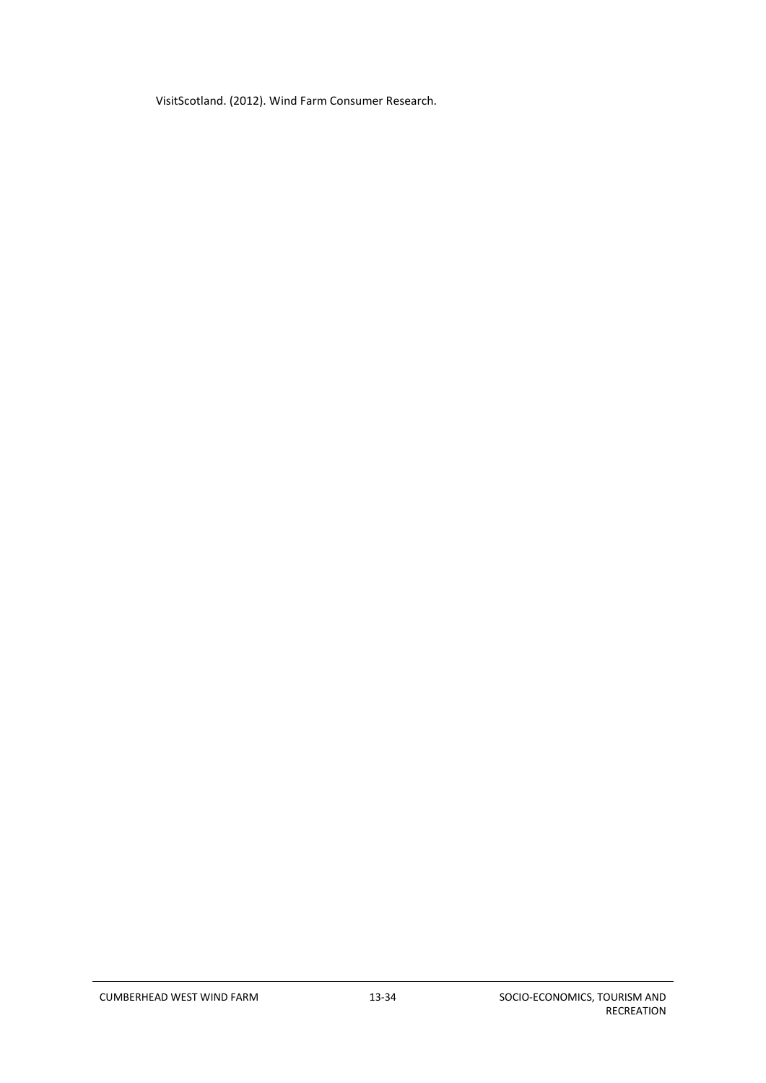VisitScotland. (2012). Wind Farm Consumer Research.